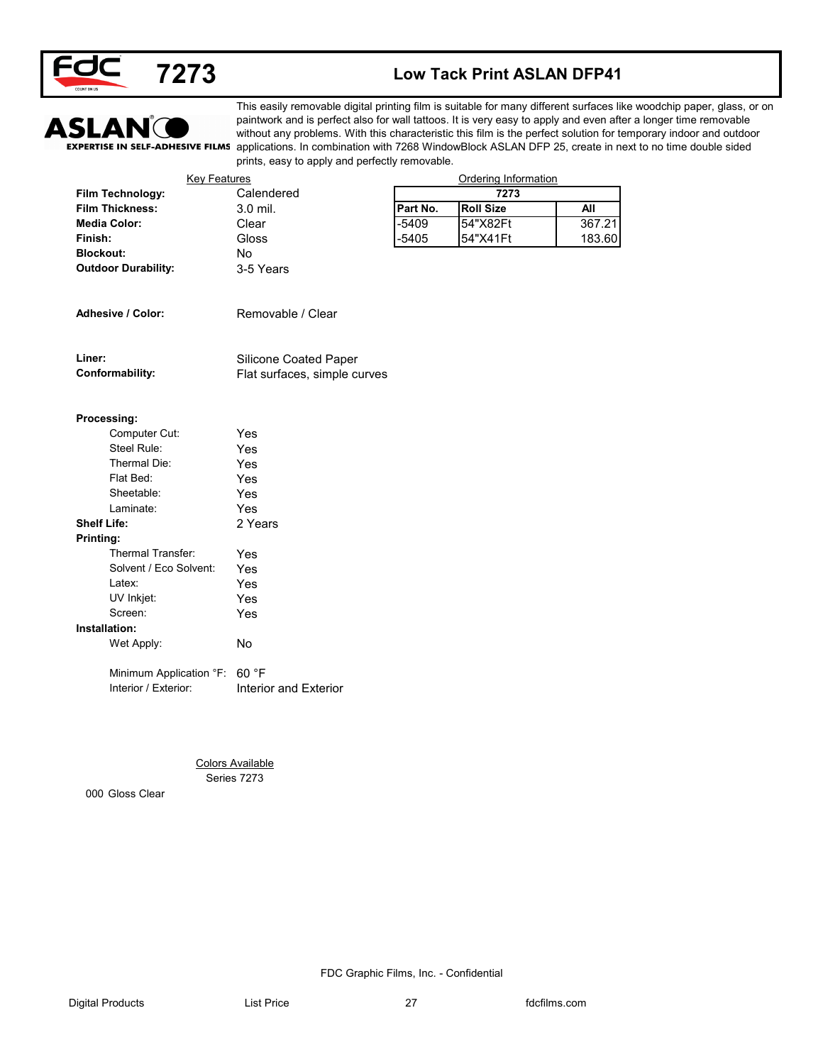

### **7273 Low Tack Print ASLAN DFP41**



This easily removable digital printing film is suitable for many different surfaces like woodchip paper, glass, or on paintwork and is perfect also for wall tattoos. It is very easy to apply and even after a longer time removable without any problems. With this characteristic this film is the perfect solution for temporary indoor and outdoor EXPERTISE IN SELF-ADHESIVE FILMS applications. In combination with 7268 WindowBlock ASLAN DFP 25, create in next to no time double sided prints, easy to apply and perfectly removable.

| Film Technology:<br><b>Film Thickness:</b><br><b>Media Color:</b><br>Finish:<br><b>Blockout:</b><br><b>Outdoor Durability:</b><br>Adhesive / Color: | Calendered<br>3.0 mil.<br>Clear<br>Gloss<br>No<br>3-5 Years | Part No.<br>$-5409$<br>$-5405$ | 7273<br><b>Roll Size</b><br>54"X82Ft<br>54"X41Ft | <b>All</b><br>367.21 |
|-----------------------------------------------------------------------------------------------------------------------------------------------------|-------------------------------------------------------------|--------------------------------|--------------------------------------------------|----------------------|
|                                                                                                                                                     |                                                             |                                |                                                  |                      |
|                                                                                                                                                     |                                                             |                                |                                                  | 183.60               |
|                                                                                                                                                     |                                                             |                                |                                                  |                      |
|                                                                                                                                                     |                                                             |                                |                                                  |                      |
|                                                                                                                                                     |                                                             |                                |                                                  |                      |
|                                                                                                                                                     |                                                             |                                |                                                  |                      |
|                                                                                                                                                     | Removable / Clear                                           |                                |                                                  |                      |
| Liner:                                                                                                                                              | Silicone Coated Paper                                       |                                |                                                  |                      |
| Conformability:                                                                                                                                     | Flat surfaces, simple curves                                |                                |                                                  |                      |
| Processing:                                                                                                                                         |                                                             |                                |                                                  |                      |
| Computer Cut:                                                                                                                                       | Yes                                                         |                                |                                                  |                      |
| Steel Rule:                                                                                                                                         | Yes                                                         |                                |                                                  |                      |
| Thermal Die:                                                                                                                                        | Yes                                                         |                                |                                                  |                      |
| Flat Bed:                                                                                                                                           | Yes                                                         |                                |                                                  |                      |
| Sheetable:                                                                                                                                          | Yes                                                         |                                |                                                  |                      |
| Laminate:                                                                                                                                           | Yes                                                         |                                |                                                  |                      |
| <b>Shelf Life:</b>                                                                                                                                  | 2 Years                                                     |                                |                                                  |                      |
| Printing:                                                                                                                                           |                                                             |                                |                                                  |                      |
| Thermal Transfer:                                                                                                                                   | Yes                                                         |                                |                                                  |                      |
| Solvent / Eco Solvent:                                                                                                                              | Yes                                                         |                                |                                                  |                      |
| Latex:                                                                                                                                              | Yes                                                         |                                |                                                  |                      |
| UV Inkjet:                                                                                                                                          | Yes                                                         |                                |                                                  |                      |
| Screen:                                                                                                                                             | Yes                                                         |                                |                                                  |                      |
| Installation:                                                                                                                                       |                                                             |                                |                                                  |                      |
| Wet Apply:                                                                                                                                          | No                                                          |                                |                                                  |                      |
| Minimum Application °F: 60 °F                                                                                                                       |                                                             |                                |                                                  |                      |
| Interior / Exterior:                                                                                                                                | Interior and Exterior                                       |                                |                                                  |                      |
|                                                                                                                                                     |                                                             |                                |                                                  |                      |
|                                                                                                                                                     |                                                             |                                |                                                  |                      |
|                                                                                                                                                     | <b>Colors Available</b><br>Series 7273                      |                                |                                                  |                      |
| 000 Gloss Clear                                                                                                                                     |                                                             |                                |                                                  |                      |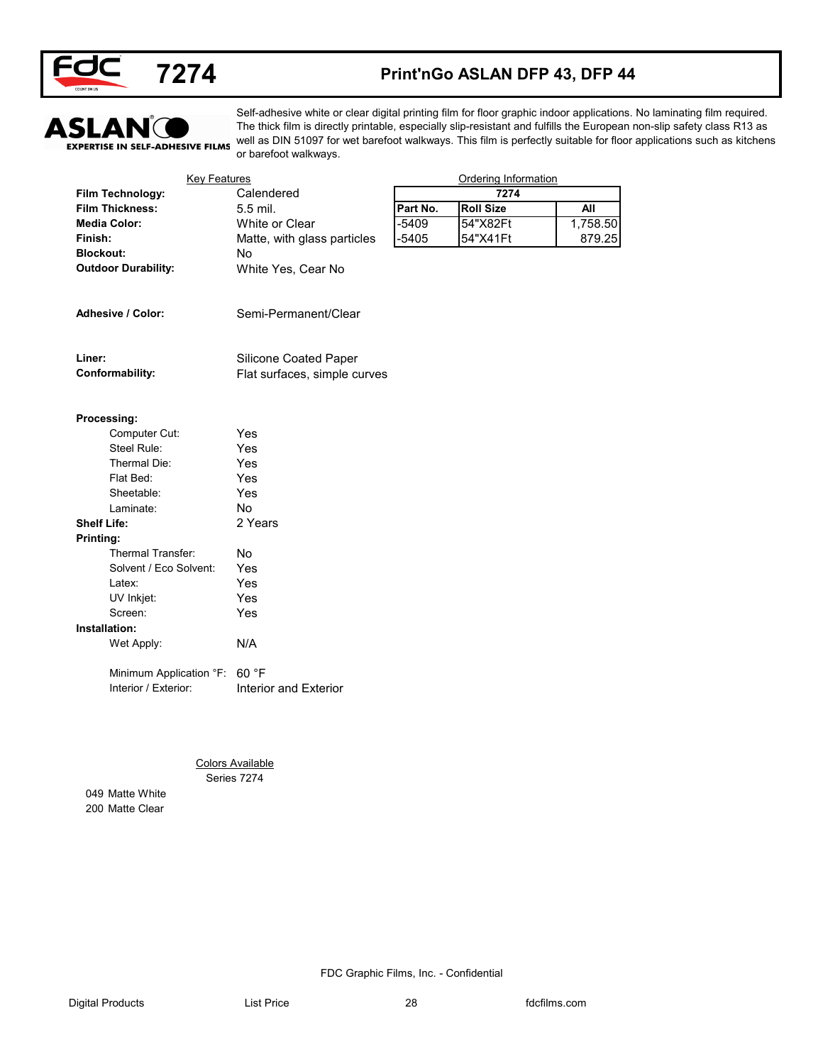



### **Print'nGo ASLAN DFP 43, DFP 44**



Self-adhesive white or clear digital printing film for floor graphic indoor applications. No laminating film required. The thick film is directly printable, especially slip-resistant and fulfills the European non-slip safety class R13 as well as DIN 51097 for wet barefoot walkways. This film is perfectly suitable for floor applications such as kitchens or barefoot walkways.

| Calendered<br>Film Technology:<br>7274<br><b>Roll Size</b><br><b>Film Thickness:</b><br>5.5 mil.<br>Part No.<br>$-5409$<br>54"X82Ft<br><b>Media Color:</b><br>White or Clear<br>$-5405$<br>54"X41Ft<br>Finish:<br>Matte, with glass particles<br><b>Blockout:</b><br>No<br><b>Outdoor Durability:</b><br>White Yes, Cear No<br>Adhesive / Color:<br>Semi-Permanent/Clear<br>Liner:<br>Silicone Coated Paper<br>Conformability:<br>Flat surfaces, simple curves<br>Processing:<br>Computer Cut:<br>Yes<br>Steel Rule:<br>Yes<br>Thermal Die:<br>Yes<br>Flat Bed:<br>Yes<br>Sheetable:<br>Yes<br>No<br>Laminate:<br><b>Shelf Life:</b><br>2 Years<br>Printing:<br>Thermal Transfer:<br>No<br>Solvent / Eco Solvent:<br>Yes<br>Yes<br>Latex:<br>UV Inkjet:<br>Yes<br>Screen:<br>Yes<br>Installation:<br>Wet Apply:<br>N/A<br>60 °F<br>Minimum Application °F:<br>Interior / Exterior:<br>Interior and Exterior | <b>Key Features</b> | Ordering Information |
|-------------------------------------------------------------------------------------------------------------------------------------------------------------------------------------------------------------------------------------------------------------------------------------------------------------------------------------------------------------------------------------------------------------------------------------------------------------------------------------------------------------------------------------------------------------------------------------------------------------------------------------------------------------------------------------------------------------------------------------------------------------------------------------------------------------------------------------------------------------------------------------------------------------|---------------------|----------------------|
|                                                                                                                                                                                                                                                                                                                                                                                                                                                                                                                                                                                                                                                                                                                                                                                                                                                                                                             |                     |                      |
|                                                                                                                                                                                                                                                                                                                                                                                                                                                                                                                                                                                                                                                                                                                                                                                                                                                                                                             |                     | <b>All</b>           |
|                                                                                                                                                                                                                                                                                                                                                                                                                                                                                                                                                                                                                                                                                                                                                                                                                                                                                                             |                     | 1,758.50             |
|                                                                                                                                                                                                                                                                                                                                                                                                                                                                                                                                                                                                                                                                                                                                                                                                                                                                                                             |                     | 879.25               |
|                                                                                                                                                                                                                                                                                                                                                                                                                                                                                                                                                                                                                                                                                                                                                                                                                                                                                                             |                     |                      |
|                                                                                                                                                                                                                                                                                                                                                                                                                                                                                                                                                                                                                                                                                                                                                                                                                                                                                                             |                     |                      |
|                                                                                                                                                                                                                                                                                                                                                                                                                                                                                                                                                                                                                                                                                                                                                                                                                                                                                                             |                     |                      |
|                                                                                                                                                                                                                                                                                                                                                                                                                                                                                                                                                                                                                                                                                                                                                                                                                                                                                                             |                     |                      |
|                                                                                                                                                                                                                                                                                                                                                                                                                                                                                                                                                                                                                                                                                                                                                                                                                                                                                                             |                     |                      |
|                                                                                                                                                                                                                                                                                                                                                                                                                                                                                                                                                                                                                                                                                                                                                                                                                                                                                                             |                     |                      |
|                                                                                                                                                                                                                                                                                                                                                                                                                                                                                                                                                                                                                                                                                                                                                                                                                                                                                                             |                     |                      |
|                                                                                                                                                                                                                                                                                                                                                                                                                                                                                                                                                                                                                                                                                                                                                                                                                                                                                                             |                     |                      |
|                                                                                                                                                                                                                                                                                                                                                                                                                                                                                                                                                                                                                                                                                                                                                                                                                                                                                                             |                     |                      |
|                                                                                                                                                                                                                                                                                                                                                                                                                                                                                                                                                                                                                                                                                                                                                                                                                                                                                                             |                     |                      |
|                                                                                                                                                                                                                                                                                                                                                                                                                                                                                                                                                                                                                                                                                                                                                                                                                                                                                                             |                     |                      |
|                                                                                                                                                                                                                                                                                                                                                                                                                                                                                                                                                                                                                                                                                                                                                                                                                                                                                                             |                     |                      |
|                                                                                                                                                                                                                                                                                                                                                                                                                                                                                                                                                                                                                                                                                                                                                                                                                                                                                                             |                     |                      |
|                                                                                                                                                                                                                                                                                                                                                                                                                                                                                                                                                                                                                                                                                                                                                                                                                                                                                                             |                     |                      |
|                                                                                                                                                                                                                                                                                                                                                                                                                                                                                                                                                                                                                                                                                                                                                                                                                                                                                                             |                     |                      |
|                                                                                                                                                                                                                                                                                                                                                                                                                                                                                                                                                                                                                                                                                                                                                                                                                                                                                                             |                     |                      |
|                                                                                                                                                                                                                                                                                                                                                                                                                                                                                                                                                                                                                                                                                                                                                                                                                                                                                                             |                     |                      |
|                                                                                                                                                                                                                                                                                                                                                                                                                                                                                                                                                                                                                                                                                                                                                                                                                                                                                                             |                     |                      |
|                                                                                                                                                                                                                                                                                                                                                                                                                                                                                                                                                                                                                                                                                                                                                                                                                                                                                                             |                     |                      |
|                                                                                                                                                                                                                                                                                                                                                                                                                                                                                                                                                                                                                                                                                                                                                                                                                                                                                                             |                     |                      |
|                                                                                                                                                                                                                                                                                                                                                                                                                                                                                                                                                                                                                                                                                                                                                                                                                                                                                                             |                     |                      |
|                                                                                                                                                                                                                                                                                                                                                                                                                                                                                                                                                                                                                                                                                                                                                                                                                                                                                                             |                     |                      |
|                                                                                                                                                                                                                                                                                                                                                                                                                                                                                                                                                                                                                                                                                                                                                                                                                                                                                                             |                     |                      |
| <b>Colors Available</b>                                                                                                                                                                                                                                                                                                                                                                                                                                                                                                                                                                                                                                                                                                                                                                                                                                                                                     |                     |                      |
| Series 7274                                                                                                                                                                                                                                                                                                                                                                                                                                                                                                                                                                                                                                                                                                                                                                                                                                                                                                 |                     |                      |
| 049 Matte White                                                                                                                                                                                                                                                                                                                                                                                                                                                                                                                                                                                                                                                                                                                                                                                                                                                                                             |                     |                      |
| 200 Matte Clear                                                                                                                                                                                                                                                                                                                                                                                                                                                                                                                                                                                                                                                                                                                                                                                                                                                                                             |                     |                      |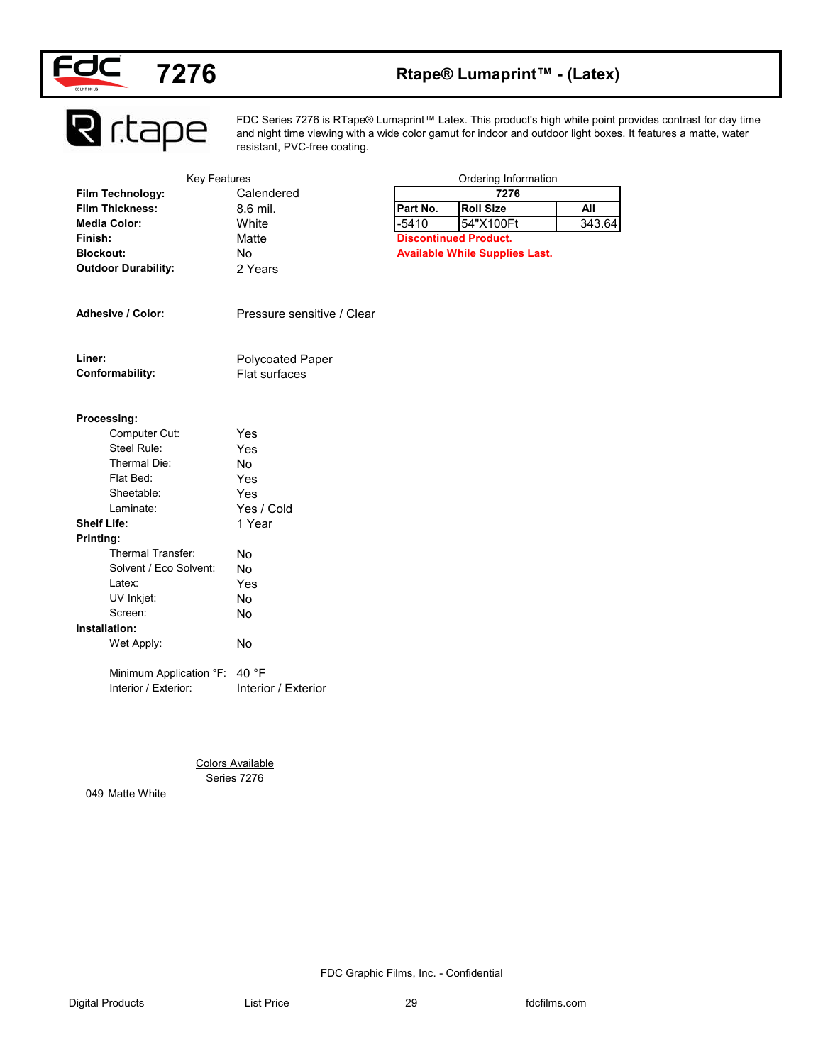

# **7276 Rtape® Lumaprint™ - (Latex)**

**R** r.tape

FDC Series 7276 is RTape® Lumaprint™ Latex. This product's high white point provides contrast for day time and night time viewing with a wide color gamut for indoor and outdoor light boxes. It features a matte, water resistant, PVC-free coating.

| Film Technology:               | <b>Key Features</b>        |          | <b>Ordering Information</b>           |            |
|--------------------------------|----------------------------|----------|---------------------------------------|------------|
|                                | Calendered                 |          | 7276                                  |            |
| <b>Film Thickness:</b>         | 8.6 mil.                   | Part No. | <b>Roll Size</b>                      | <b>All</b> |
| <b>Media Color:</b>            | White                      | $-5410$  | 54"X100Ft                             | 343.64     |
| Finish:                        | Matte                      |          | <b>Discontinued Product.</b>          |            |
| <b>Blockout:</b>               | No                         |          | <b>Available While Supplies Last.</b> |            |
| <b>Outdoor Durability:</b>     | 2 Years                    |          |                                       |            |
| Adhesive / Color:              | Pressure sensitive / Clear |          |                                       |            |
|                                |                            |          |                                       |            |
| Liner:                         | Polycoated Paper           |          |                                       |            |
| Conformability:                | Flat surfaces              |          |                                       |            |
|                                |                            |          |                                       |            |
| Processing:                    |                            |          |                                       |            |
| Computer Cut:<br>Steel Rule:   | Yes                        |          |                                       |            |
| Thermal Die:                   | Yes                        |          |                                       |            |
| Flat Bed:                      | No                         |          |                                       |            |
| Sheetable:                     | Yes                        |          |                                       |            |
| Laminate:                      | Yes<br>Yes / Cold          |          |                                       |            |
| <b>Shelf Life:</b>             |                            |          |                                       |            |
|                                | 1 Year                     |          |                                       |            |
| Printing:<br>Thermal Transfer: |                            |          |                                       |            |
| Solvent / Eco Solvent:         | No                         |          |                                       |            |
| Latex:                         | No                         |          |                                       |            |
|                                | Yes<br>No                  |          |                                       |            |
| UV Inkjet:<br>Screen:          |                            |          |                                       |            |
| Installation:                  | No                         |          |                                       |            |
|                                |                            |          |                                       |            |
| Wet Apply:                     | No                         |          |                                       |            |
| Minimum Application °F: 40 °F  |                            |          |                                       |            |
| Interior / Exterior:           | Interior / Exterior        |          |                                       |            |
|                                |                            |          |                                       |            |
|                                |                            |          |                                       |            |
|                                | <b>Colors Available</b>    |          |                                       |            |
|                                |                            |          |                                       |            |
| Series 7276                    |                            |          |                                       |            |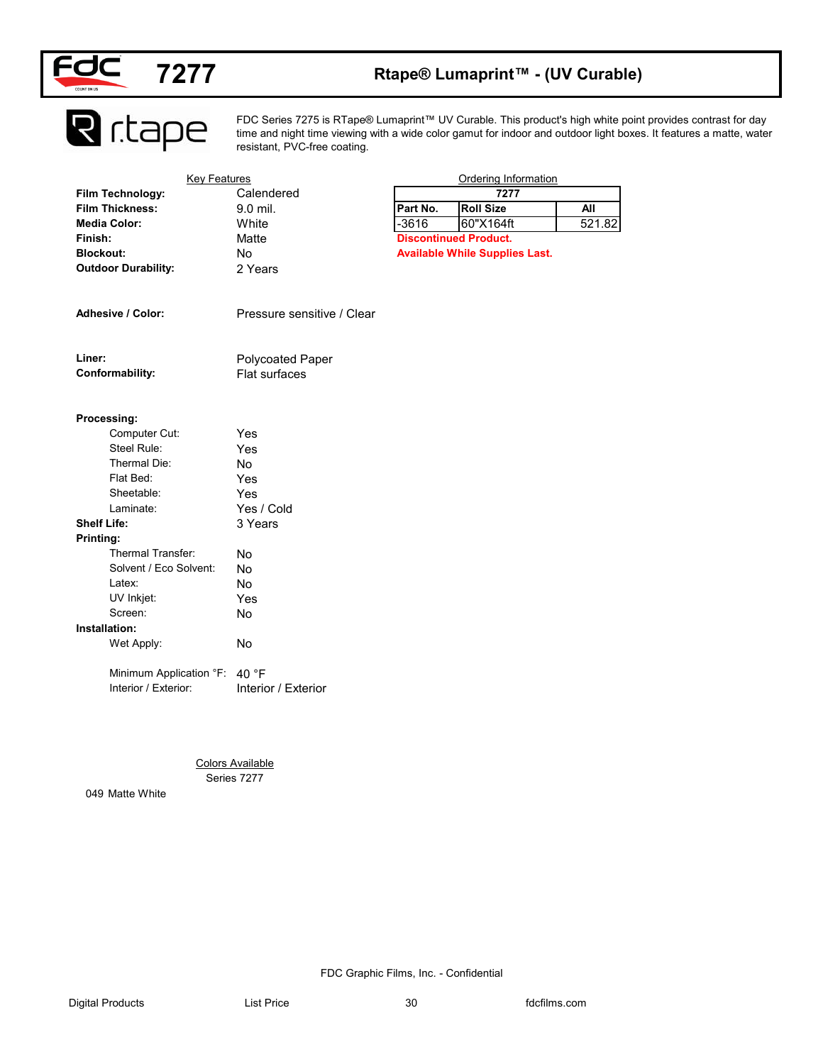

### **Rtape® Lumaprint™ - (UV Curable)**

**R** r.tape

FDC Series 7275 is RTape® Lumaprint™ UV Curable. This product's high white point provides contrast for day time and night time viewing with a wide color gamut for indoor and outdoor light boxes. It features a matte, water resistant, PVC-free coating.

| <b>Key Features</b>           |                            |          | <b>Ordering Information</b>           |            |
|-------------------------------|----------------------------|----------|---------------------------------------|------------|
| Film Technology:              | Calendered                 |          | 7277                                  |            |
| <b>Film Thickness:</b>        | 9.0 mil.                   | Part No. | <b>Roll Size</b>                      | <b>All</b> |
| <b>Media Color:</b>           | White                      | $-3616$  | 60"X164ft                             | 521.82     |
| Finish:                       | Matte                      |          | <b>Discontinued Product.</b>          |            |
| <b>Blockout:</b>              | No                         |          | <b>Available While Supplies Last.</b> |            |
| <b>Outdoor Durability:</b>    | 2 Years                    |          |                                       |            |
|                               |                            |          |                                       |            |
| Adhesive / Color:             | Pressure sensitive / Clear |          |                                       |            |
| Liner:                        | Polycoated Paper           |          |                                       |            |
| Conformability:               | Flat surfaces              |          |                                       |            |
|                               |                            |          |                                       |            |
| Processing:<br>Computer Cut:  | Yes                        |          |                                       |            |
| Steel Rule:                   | Yes                        |          |                                       |            |
| Thermal Die:                  | No                         |          |                                       |            |
| Flat Bed:                     | Yes                        |          |                                       |            |
| Sheetable:                    | Yes                        |          |                                       |            |
| Laminate:                     | Yes / Cold                 |          |                                       |            |
| <b>Shelf Life:</b>            | 3 Years                    |          |                                       |            |
| Printing:                     |                            |          |                                       |            |
| Thermal Transfer:             | No                         |          |                                       |            |
| Solvent / Eco Solvent:        | No                         |          |                                       |            |
| Latex:                        | No                         |          |                                       |            |
| UV Inkjet:                    | Yes                        |          |                                       |            |
| Screen:                       | No                         |          |                                       |            |
| Installation:                 |                            |          |                                       |            |
| Wet Apply:                    | No                         |          |                                       |            |
|                               |                            |          |                                       |            |
| Minimum Application °F: 40 °F |                            |          |                                       |            |
| Interior / Exterior:          | Interior / Exterior        |          |                                       |            |
|                               |                            |          |                                       |            |
|                               |                            |          |                                       |            |
|                               |                            |          |                                       |            |
|                               |                            |          |                                       |            |
|                               | <b>Colors Available</b>    |          |                                       |            |
|                               | Series 7277                |          |                                       |            |
| 049 Matte White               |                            |          |                                       |            |
|                               |                            |          |                                       |            |
|                               |                            |          |                                       |            |
|                               |                            |          |                                       |            |
|                               |                            |          |                                       |            |
|                               |                            |          |                                       |            |
|                               |                            |          |                                       |            |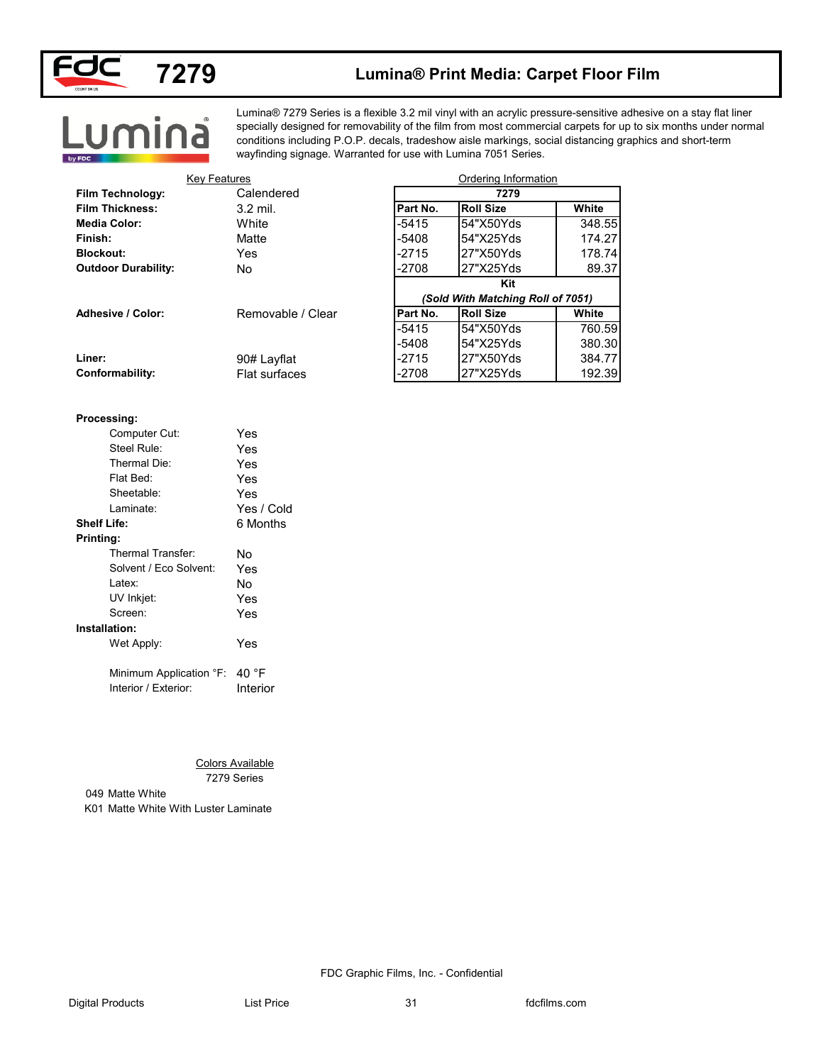

### **7279 Lumina® Print Media: Carpet Floor Film**

# Lumina

Lumina® 7279 Series is a flexible 3.2 mil vinyl with an acrylic pressure-sensitive adhesive on a stay flat liner specially designed for removability of the film from most commercial carpets for up to six months under normal conditions including P.O.P. decals, tradeshow aisle markings, social distancing graphics and short-term wayfinding signage. Warranted for use with Lumina 7051 Series.

| <b>Key Features</b>                  |                         |          | Ordering Information              |              |
|--------------------------------------|-------------------------|----------|-----------------------------------|--------------|
| Film Technology:                     | Calendered              |          | 7279                              |              |
| <b>Film Thickness:</b>               | 3.2 mil.                | Part No. | <b>Roll Size</b>                  | White        |
| <b>Media Color:</b>                  | White                   | $-5415$  | 54"X50Yds                         | 348.55       |
| Finish:                              | Matte                   | $-5408$  | 54"X25Yds                         | 174.27       |
| <b>Blockout:</b>                     | Yes                     | $-2715$  | 27"X50Yds                         | 178.74       |
| <b>Outdoor Durability:</b>           | No                      | $-2708$  | 27"X25Yds                         | 89.37        |
|                                      |                         |          | Kit                               |              |
|                                      |                         |          | (Sold With Matching Roll of 7051) |              |
| Adhesive / Color:                    | Removable / Clear       | Part No. | <b>Roll Size</b>                  | <b>White</b> |
|                                      |                         | $-5415$  | 54"X50Yds                         | 760.59       |
|                                      |                         | $-5408$  | 54"X25Yds                         | 380.30       |
| Liner:                               | 90# Layflat             | $-2715$  | 27"X50Yds                         | 384.77       |
| Conformability:                      | Flat surfaces           | $-2708$  | 27"X25Yds                         | 192.39       |
|                                      |                         |          |                                   |              |
| Processing:                          |                         |          |                                   |              |
| Computer Cut:                        | Yes                     |          |                                   |              |
| Steel Rule:                          | Yes                     |          |                                   |              |
| Thermal Die:                         | Yes                     |          |                                   |              |
| Flat Bed:                            | Yes                     |          |                                   |              |
| Sheetable:                           | Yes                     |          |                                   |              |
| Laminate:                            | Yes / Cold              |          |                                   |              |
| <b>Shelf Life:</b>                   | 6 Months                |          |                                   |              |
| Printing:                            |                         |          |                                   |              |
| Thermal Transfer:                    | No                      |          |                                   |              |
| Solvent / Eco Solvent:               | Yes                     |          |                                   |              |
| Latex:                               | No                      |          |                                   |              |
| UV Inkjet:                           | Yes                     |          |                                   |              |
| Screen:                              | Yes                     |          |                                   |              |
| Installation:                        |                         |          |                                   |              |
| Wet Apply:                           | Yes                     |          |                                   |              |
| Minimum Application °F: 40 °F        |                         |          |                                   |              |
| Interior / Exterior:                 | Interior                |          |                                   |              |
|                                      |                         |          |                                   |              |
|                                      |                         |          |                                   |              |
|                                      |                         |          |                                   |              |
|                                      |                         |          |                                   |              |
|                                      | <b>Colors Available</b> |          |                                   |              |
|                                      | 7279 Series             |          |                                   |              |
| 049 Matte White                      |                         |          |                                   |              |
| K01 Matte White With Luster Laminate |                         |          |                                   |              |
|                                      |                         |          |                                   |              |
|                                      |                         |          |                                   |              |
|                                      |                         |          |                                   |              |
|                                      |                         |          |                                   |              |
|                                      |                         |          |                                   |              |

#### **Processing:**

| Computer Cut:                 | Yes        |
|-------------------------------|------------|
| Steel Rule:                   | Yes        |
| Thermal Die:                  | Yes        |
| Flat Bed:                     | Yes        |
| Sheetable:                    | Yes        |
| Laminate:                     | Yes / Cold |
| Shelf Life:                   | 6 Months   |
| Printing:                     |            |
| Thermal Transfer:             | N٥         |
| Solvent / Eco Solvent:        | Yes        |
| Latex:                        | N٥         |
| UV Inkjet:                    | Yes        |
| Screen:                       | Yes        |
| Installation:                 |            |
| Wet Apply:                    | Yes        |
| Minimum Application °F: 40 °F |            |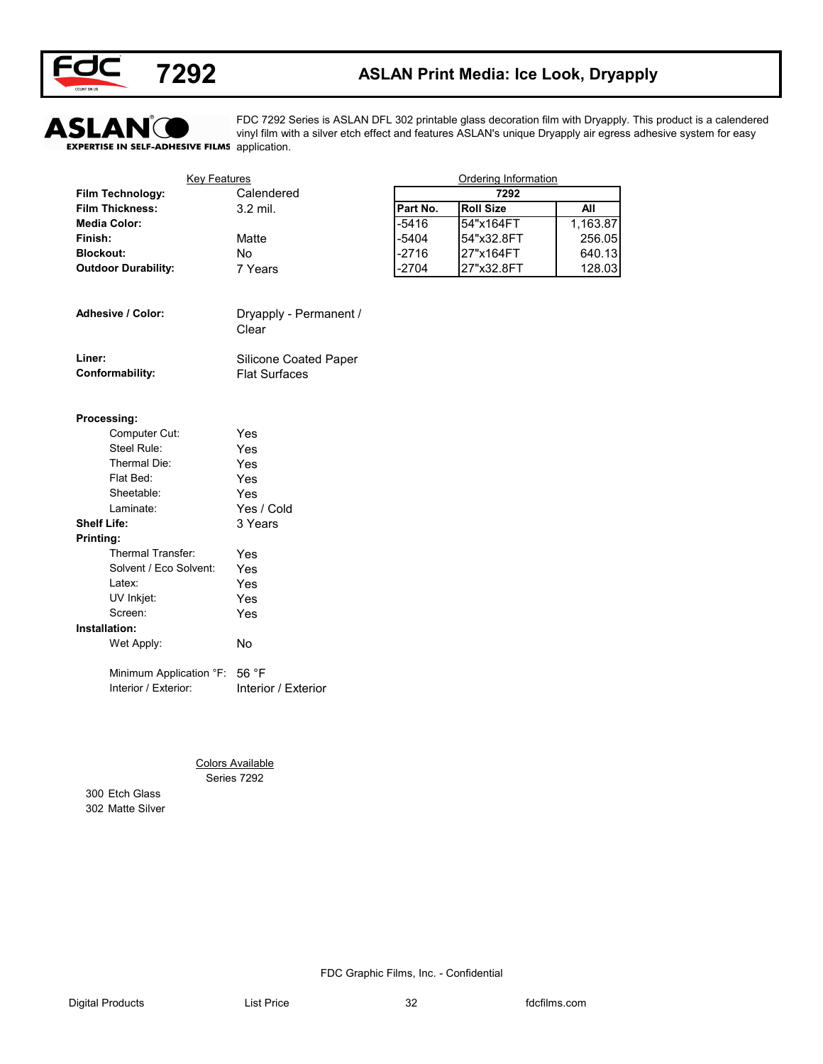



### **7292 ASLAN Print Media: Ice Look, Dryapply**



FDC 7292 Series is ASLAN DFL 302 printable glass decoration film with Dryapply. This product is a calendered vinyl film with a silver etch effect and features ASLAN's unique Dryapply air egress adhesive system for easy

| <b>Key Features</b>        |                                        |          | <b>Ordering Information</b> |            |
|----------------------------|----------------------------------------|----------|-----------------------------|------------|
| Film Technology:           | Calendered                             |          | 7292                        |            |
| <b>Film Thickness:</b>     | 3.2 mil.                               | Part No. | <b>Roll Size</b>            | <b>All</b> |
| <b>Media Color:</b>        |                                        | $-5416$  | 54"x164FT                   | 1,163.87   |
| Finish:                    | Matte                                  | $-5404$  | 54"x32.8FT                  | 256.05     |
| <b>Blockout:</b>           | No                                     | $-2716$  | 27"x164FT                   | 640.13     |
| <b>Outdoor Durability:</b> | 7 Years                                | $-2704$  | 27"x32.8FT                  | 128.03     |
| Adhesive / Color:          | Dryapply - Permanent /                 |          |                             |            |
|                            | Clear                                  |          |                             |            |
| Liner:                     | Silicone Coated Paper                  |          |                             |            |
| Conformability:            | <b>Flat Surfaces</b>                   |          |                             |            |
| Processing:                |                                        |          |                             |            |
| Computer Cut:              | Yes                                    |          |                             |            |
| Steel Rule:                | Yes                                    |          |                             |            |
| Thermal Die:               | Yes                                    |          |                             |            |
| Flat Bed:                  | Yes                                    |          |                             |            |
| Sheetable:                 | Yes                                    |          |                             |            |
| Laminate:                  | Yes / Cold                             |          |                             |            |
| <b>Shelf Life:</b>         | 3 Years                                |          |                             |            |
| Printing:                  |                                        |          |                             |            |
| Thermal Transfer:          | Yes                                    |          |                             |            |
| Solvent / Eco Solvent:     | Yes                                    |          |                             |            |
| Latex:                     | Yes                                    |          |                             |            |
| UV Inkjet:                 | Yes                                    |          |                             |            |
| Screen:                    | Yes                                    |          |                             |            |
| Installation:              |                                        |          |                             |            |
| Wet Apply:                 | No                                     |          |                             |            |
| Minimum Application °F:    | 56 °F                                  |          |                             |            |
| Interior / Exterior:       | Interior / Exterior                    |          |                             |            |
|                            |                                        |          |                             |            |
|                            |                                        |          |                             |            |
|                            | <b>Colors Available</b><br>Series 7292 |          |                             |            |
| 300 Etch Glass             |                                        |          |                             |            |
| 302 Matte Silver           |                                        |          |                             |            |
|                            |                                        |          |                             |            |
|                            |                                        |          |                             |            |
|                            |                                        |          |                             |            |
|                            |                                        |          |                             |            |
|                            |                                        |          |                             |            |
|                            |                                        |          |                             |            |

| Adhesive / Color: | Dryapply - Permanent / |
|-------------------|------------------------|
|                   | Clear                  |
|                   |                        |

| Liner:          | <b>Silicone Coated Paper</b> |
|-----------------|------------------------------|
| Conformability: | <b>Flat Surfaces</b>         |

#### **Processing:**

| Computer Cut:          | Yes        |
|------------------------|------------|
| Steel Rule:            | Yes        |
| Thermal Die:           | Yes        |
| Flat Bed:              | Yes        |
| Sheetable:             | Yes        |
| Laminate:              | Yes / Cold |
| <b>Shelf Life:</b>     | 3 Years    |
| Printing:              |            |
| Thermal Transfer:      | Yes        |
| Solvent / Eco Solvent: | Yes        |
| l atex <sup>-</sup>    | Yes        |
| UV Inkjet:             | Yes        |
| Screen:                | Yes        |
| Installation:          |            |
| Wet Apply:             | No         |
| .<br>$\sim$ $-$        |            |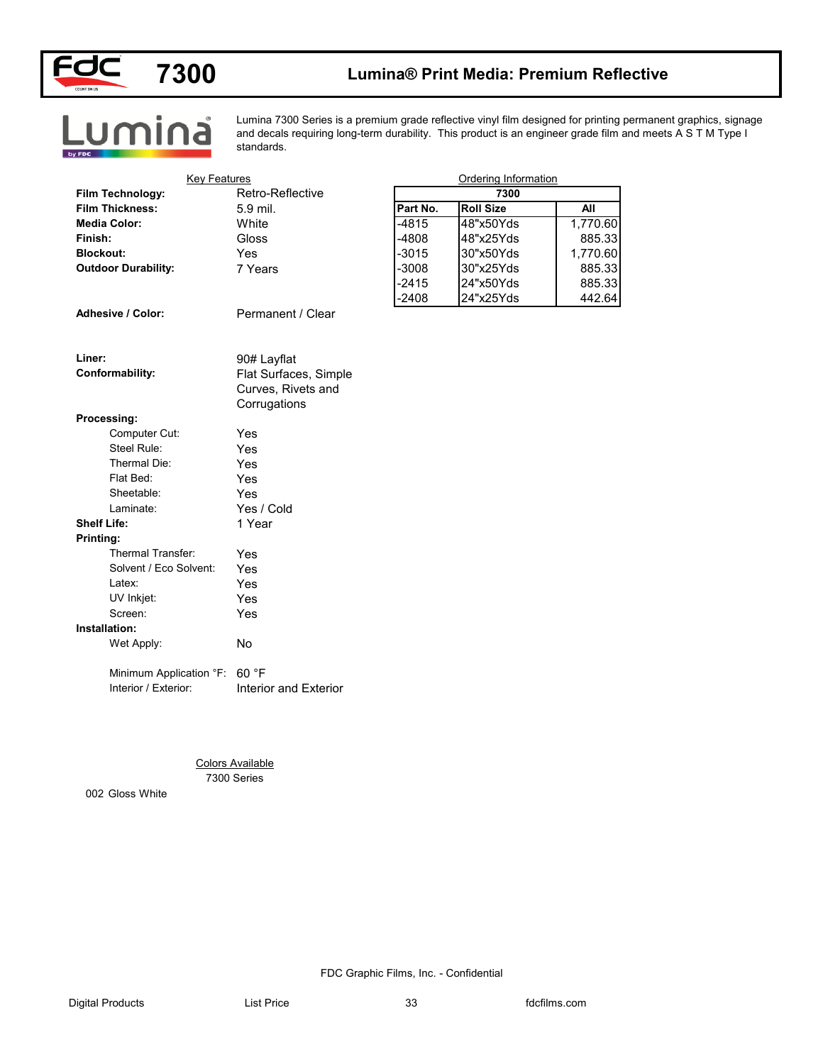

## **7300 Lumina® Print Media: Premium Reflective**



Lumina 7300 Series is a premium grade reflective vinyl film designed for printing permanent graphics, signage and decals requiring long-term durability. This product is an engineer grade film and meets A S T M Type I standards.

| <b>Key Features</b>           |                         |          | Ordering Information |            |
|-------------------------------|-------------------------|----------|----------------------|------------|
| Film Technology:              | Retro-Reflective        |          | 7300                 |            |
| <b>Film Thickness:</b>        | 5.9 mil.                | Part No. | <b>Roll Size</b>     | <b>All</b> |
| <b>Media Color:</b>           | White                   | $-4815$  | 48"x50Yds            | 1,770.60   |
| Finish:                       | Gloss                   | $-4808$  | 48"x25Yds            | 885.33     |
| <b>Blockout:</b>              | Yes                     | $-3015$  | 30"x50Yds            | 1,770.60   |
| <b>Outdoor Durability:</b>    | 7 Years                 | $-3008$  | 30"x25Yds            | 885.33     |
|                               |                         | $-2415$  | 24"x50Yds            | 885.33     |
|                               |                         | $-2408$  | 24"x25Yds            | 442.64     |
| Adhesive / Color:             | Permanent / Clear       |          |                      |            |
|                               |                         |          |                      |            |
| Liner:                        | 90# Layflat             |          |                      |            |
| Conformability:               | Flat Surfaces, Simple   |          |                      |            |
|                               | Curves, Rivets and      |          |                      |            |
|                               | Corrugations            |          |                      |            |
| Processing:                   |                         |          |                      |            |
| Computer Cut:                 | Yes                     |          |                      |            |
| Steel Rule:                   | Yes                     |          |                      |            |
| Thermal Die:                  | Yes                     |          |                      |            |
| Flat Bed:                     | Yes                     |          |                      |            |
| Sheetable:                    | Yes                     |          |                      |            |
| Laminate:                     | Yes / Cold              |          |                      |            |
| <b>Shelf Life:</b>            | 1 Year                  |          |                      |            |
| Printing:                     |                         |          |                      |            |
| Thermal Transfer:             | Yes                     |          |                      |            |
| Solvent / Eco Solvent:        | Yes                     |          |                      |            |
| Latex:                        | Yes                     |          |                      |            |
| UV Inkjet:<br>Screen:         | Yes                     |          |                      |            |
|                               | Yes                     |          |                      |            |
| Installation:                 |                         |          |                      |            |
| Wet Apply:                    | No                      |          |                      |            |
| Minimum Application °F: 60 °F |                         |          |                      |            |
| Interior / Exterior:          | Interior and Exterior   |          |                      |            |
|                               |                         |          |                      |            |
|                               |                         |          |                      |            |
|                               |                         |          |                      |            |
|                               |                         |          |                      |            |
|                               | <b>Colors Available</b> |          |                      |            |
|                               | 7300 Series             |          |                      |            |
| 002 Gloss White               |                         |          |                      |            |
|                               |                         |          |                      |            |
|                               |                         |          |                      |            |
|                               |                         |          |                      |            |
|                               |                         |          |                      |            |
|                               |                         |          |                      |            |
|                               |                         |          |                      |            |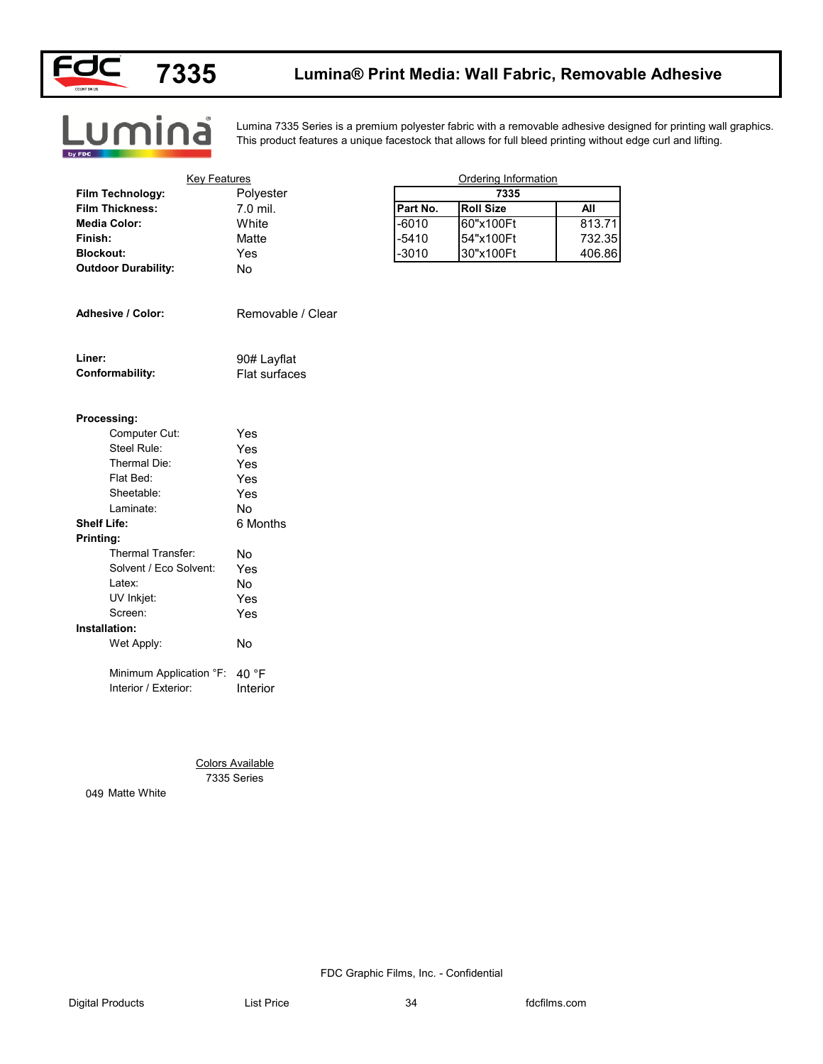



Lumina

### **7335 Lumina® Print Media: Wall Fabric, Removable Adhesive**

Lumina 7335 Series is a premium polyester fabric with a removable adhesive designed for printing wall graphics. This product features a unique facestock that allows for full bleed printing without edge curl and lifting.

|                               | <b>Key Features</b>     |          | Ordering Information |            |
|-------------------------------|-------------------------|----------|----------------------|------------|
| Film Technology:              | Polyester               |          | 7335                 |            |
| <b>Film Thickness:</b>        | 7.0 mil.                | Part No. | <b>Roll Size</b>     | <b>All</b> |
| <b>Media Color:</b>           | White                   | $-6010$  | 60"x100Ft            | 813.71     |
| Finish:                       | Matte                   | $-5410$  | 54"x100Ft            | 732.35     |
| <b>Blockout:</b>              | Yes                     | $-3010$  | 30"x100Ft            | 406.86     |
| <b>Outdoor Durability:</b>    | No                      |          |                      |            |
| Adhesive / Color:             | Removable / Clear       |          |                      |            |
| Liner:                        | 90# Layflat             |          |                      |            |
| Conformability:               | Flat surfaces           |          |                      |            |
| Processing:                   |                         |          |                      |            |
| Computer Cut:                 | Yes                     |          |                      |            |
| Steel Rule:                   | Yes                     |          |                      |            |
| Thermal Die:                  | Yes                     |          |                      |            |
| Flat Bed:                     | Yes                     |          |                      |            |
| Sheetable:                    | Yes                     |          |                      |            |
| Laminate:                     | No                      |          |                      |            |
| <b>Shelf Life:</b>            | 6 Months                |          |                      |            |
| Printing:                     |                         |          |                      |            |
| Thermal Transfer:             | No                      |          |                      |            |
| Solvent / Eco Solvent:        | Yes                     |          |                      |            |
| Latex:                        | No                      |          |                      |            |
| UV Inkjet:                    | Yes                     |          |                      |            |
| Screen:                       | Yes                     |          |                      |            |
| Installation:                 |                         |          |                      |            |
| Wet Apply:                    | No                      |          |                      |            |
| Minimum Application °F: 40 °F |                         |          |                      |            |
| Interior / Exterior:          | Interior                |          |                      |            |
|                               | <b>Colors Available</b> |          |                      |            |
|                               |                         |          |                      |            |
| 7335 Series                   |                         |          |                      |            |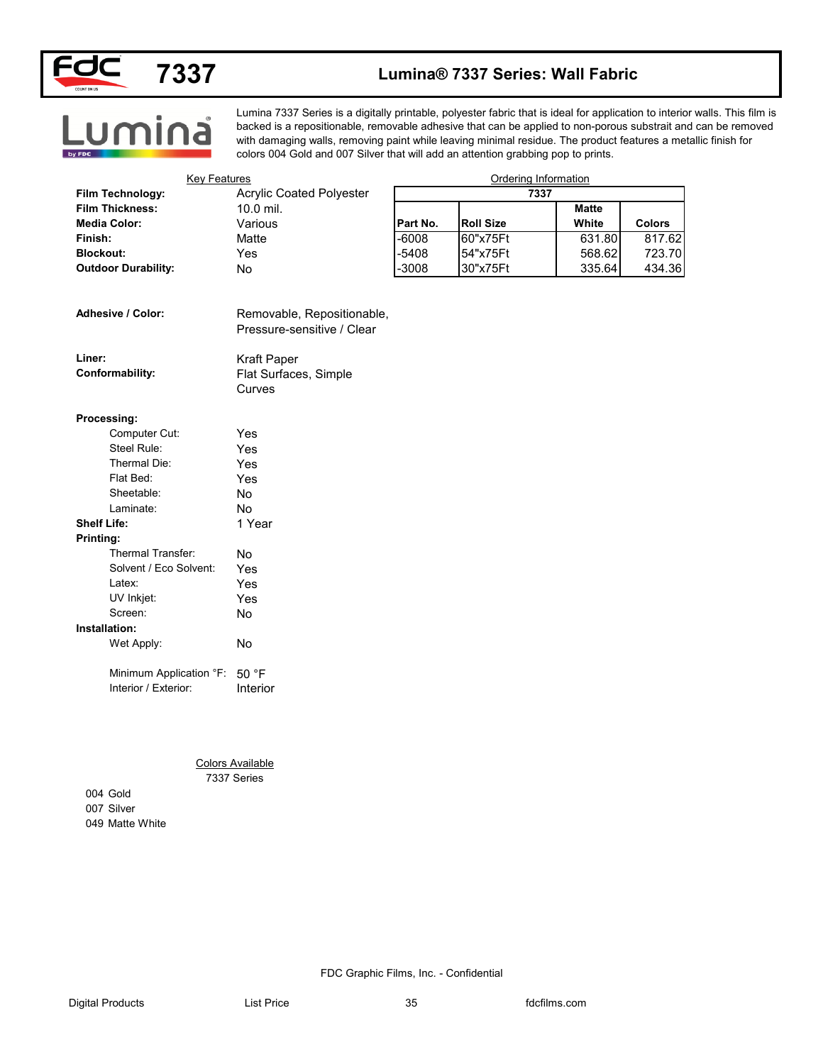

<u>Lumina</u>

### **Lumina® 7337 Series: Wall Fabric**

#### Lumina 7337 Series is a digitally printable, polyester fabric that is ideal for application to interior walls. This film is backed is a repositionable, removable adhesive that can be applied to non-porous substrait and can be removed with damaging walls, removing paint while leaving minimal residue. The product features a metallic finish for colors 004 Gold and 007 Silver that will add an attention grabbing pop to prints.

| <b>Key Features</b>        |                                                          |          | Ordering Information |              |               |
|----------------------------|----------------------------------------------------------|----------|----------------------|--------------|---------------|
| Film Technology:           | <b>Acrylic Coated Polyester</b>                          |          | 7337                 |              |               |
| <b>Film Thickness:</b>     | 10.0 mil.                                                |          |                      | <b>Matte</b> |               |
| <b>Media Color:</b>        | Various                                                  | Part No. | <b>Roll Size</b>     | White        | <b>Colors</b> |
| Finish:                    | Matte                                                    | $-6008$  | 60"x75Ft             | 631.80       | 817.62        |
| <b>Blockout:</b>           | Yes                                                      | $-5408$  | 54"x75Ft             | 568.62       | 723.70        |
| <b>Outdoor Durability:</b> | No                                                       | $-3008$  | 30"x75Ft             | 335.64       | 434.36        |
| Adhesive / Color:          | Removable, Repositionable,<br>Pressure-sensitive / Clear |          |                      |              |               |
| Liner:                     | Kraft Paper                                              |          |                      |              |               |
| Conformability:            | Flat Surfaces, Simple<br>Curves                          |          |                      |              |               |
| Processing:                |                                                          |          |                      |              |               |
| Computer Cut:              | Yes                                                      |          |                      |              |               |
| Steel Rule:                | Yes                                                      |          |                      |              |               |
| Thermal Die:               | Yes                                                      |          |                      |              |               |
| Flat Bed:                  | Yes                                                      |          |                      |              |               |
| Sheetable:                 | No                                                       |          |                      |              |               |
| Laminate:                  | No                                                       |          |                      |              |               |
| <b>Shelf Life:</b>         | 1 Year                                                   |          |                      |              |               |
| Printing:                  |                                                          |          |                      |              |               |
| Thermal Transfer:          | No                                                       |          |                      |              |               |
| Solvent / Eco Solvent:     | Yes                                                      |          |                      |              |               |
| Latex:                     | Yes                                                      |          |                      |              |               |
| UV Inkjet:                 | Yes                                                      |          |                      |              |               |
| Screen:                    | $\operatorname{\mathsf{No}}$                             |          |                      |              |               |
| Installation:              |                                                          |          |                      |              |               |
| Wet Apply:                 | No                                                       |          |                      |              |               |
| Minimum Application °F:    | 50 °F                                                    |          |                      |              |               |
| Interior / Exterior:       | Interior                                                 |          |                      |              |               |
|                            | <b>Colors Available</b>                                  |          |                      |              |               |
|                            | 7337 Series                                              |          |                      |              |               |
| 004 Gold                   |                                                          |          |                      |              |               |
| 007 Silver                 |                                                          |          |                      |              |               |
| 049 Matte White            |                                                          |          |                      |              |               |
|                            |                                                          |          |                      |              |               |
|                            |                                                          |          |                      |              |               |
|                            |                                                          |          |                      |              |               |
|                            |                                                          |          |                      |              |               |
|                            |                                                          |          |                      |              |               |

| Processing: |  |
|-------------|--|

| Computer Cut:           | Yes    |
|-------------------------|--------|
| Steel Rule:             | Yes    |
| Thermal Die:            | Yes    |
| Flat Bed:               | Yes    |
| Sheetable:              | N٥     |
| Laminate:               | N٥     |
| <b>Shelf Life:</b>      | 1 Year |
| Printing:               |        |
| Thermal Transfer:       | N٥     |
| Solvent / Eco Solvent:  | Yes    |
| l atex <sup>-</sup>     | Yes    |
| UV Inkjet:              | Yes    |
| Screen:                 | N٥     |
| Installation:           |        |
| Wet Apply:              | N٥     |
| Minimum Application °F: | 50 °F  |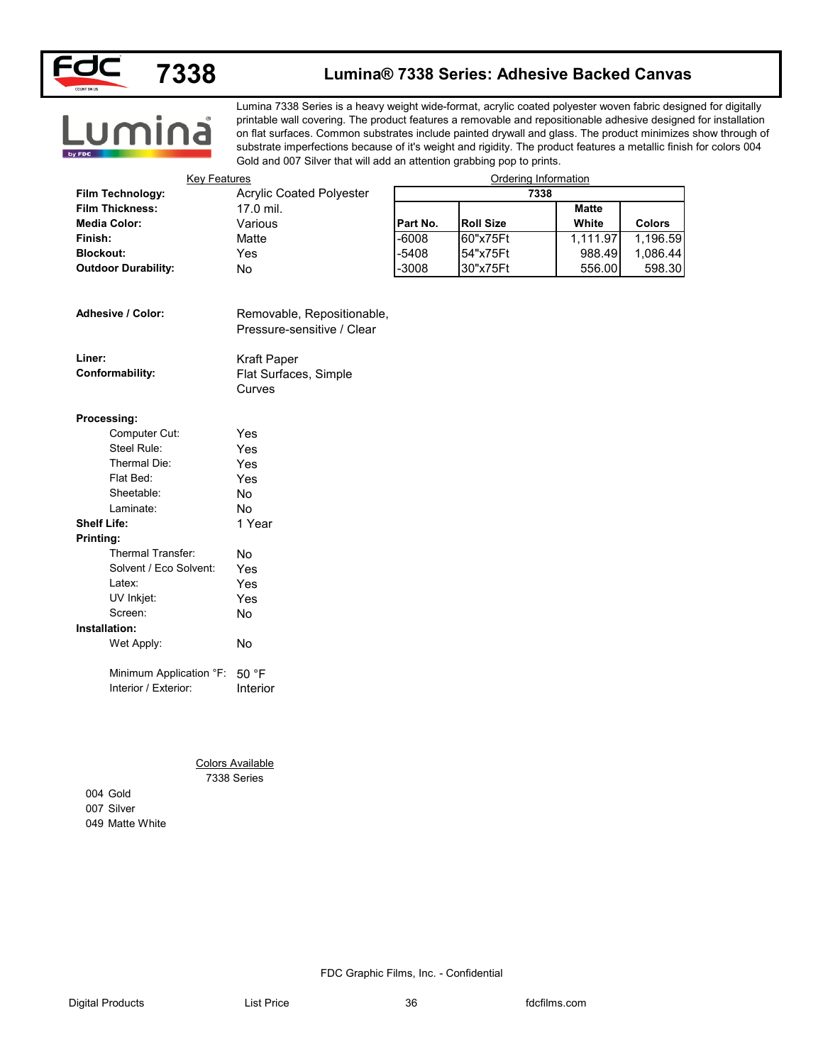

#### **Lumina® 7338 Series: Adhesive Backed Canvas**

# **Lumina**

Lumina 7338 Series is a heavy weight wide-format, acrylic coated polyester woven fabric designed for digitally printable wall covering. The product features a removable and repositionable adhesive designed for installation on flat surfaces. Common substrates include painted drywall and glass. The product minimizes show through of substrate imperfections because of it's weight and rigidity. The product features a metallic finish for colors 004 Gold and 007 Silver that will add an attention grabbing pop to prints.

| <b>Key Features</b>        |                                                          |          | Ordering Information |              |               |
|----------------------------|----------------------------------------------------------|----------|----------------------|--------------|---------------|
| Film Technology:           | <b>Acrylic Coated Polyester</b>                          |          | 7338                 |              |               |
| <b>Film Thickness:</b>     | 17.0 mil.                                                |          |                      | <b>Matte</b> |               |
| <b>Media Color:</b>        | Various                                                  | Part No. | <b>Roll Size</b>     | White        | <b>Colors</b> |
| Finish:                    | Matte                                                    | $-6008$  | 60"x75Ft             | 1,111.97     | 1,196.59      |
| <b>Blockout:</b>           | Yes                                                      | $-5408$  | 54"x75Ft             | 988.49       | 1,086.44      |
| <b>Outdoor Durability:</b> | No                                                       | $-3008$  | 30"x75Ft             | 556.00       | 598.30        |
| Adhesive / Color:          | Removable, Repositionable,<br>Pressure-sensitive / Clear |          |                      |              |               |
| Liner:                     | Kraft Paper                                              |          |                      |              |               |
| Conformability:            | Flat Surfaces, Simple<br>Curves                          |          |                      |              |               |
| Processing:                |                                                          |          |                      |              |               |
| Computer Cut:              | Yes                                                      |          |                      |              |               |
| Steel Rule:                | Yes                                                      |          |                      |              |               |
| Thermal Die:               | Yes                                                      |          |                      |              |               |
| Flat Bed:                  | Yes                                                      |          |                      |              |               |
| Sheetable:                 | No                                                       |          |                      |              |               |
| Laminate:                  | No                                                       |          |                      |              |               |
| <b>Shelf Life:</b>         | 1 Year                                                   |          |                      |              |               |
| Printing:                  |                                                          |          |                      |              |               |
| Thermal Transfer:          | No                                                       |          |                      |              |               |
| Solvent / Eco Solvent:     | Yes                                                      |          |                      |              |               |
| Latex:                     | Yes                                                      |          |                      |              |               |
| UV Inkjet:                 | Yes                                                      |          |                      |              |               |
| Screen:                    | $\operatorname{\mathsf{No}}$                             |          |                      |              |               |
| Installation:              |                                                          |          |                      |              |               |
| Wet Apply:                 | No                                                       |          |                      |              |               |
| Minimum Application °F:    | 50 °F                                                    |          |                      |              |               |
| Interior / Exterior:       | Interior                                                 |          |                      |              |               |
|                            |                                                          |          |                      |              |               |
|                            |                                                          |          |                      |              |               |
|                            | <b>Colors Available</b><br>7338 Series                   |          |                      |              |               |
| 004 Gold                   |                                                          |          |                      |              |               |
| 007 Silver                 |                                                          |          |                      |              |               |
| 049 Matte White            |                                                          |          |                      |              |               |
|                            |                                                          |          |                      |              |               |
|                            |                                                          |          |                      |              |               |
|                            |                                                          |          |                      |              |               |
|                            |                                                          |          |                      |              |               |

| <b>Adhesive / Color:</b> |  |  |
|--------------------------|--|--|
|                          |  |  |

| Liner:          | Kraft Paper           |
|-----------------|-----------------------|
| Conformability: | Flat Surfaces, Simple |
|                 | Curves                |

#### **Processing:**

| Computer Cut:          | Yes    |
|------------------------|--------|
| Steel Rule:            | Yes    |
| Thermal Die:           | Yes    |
| Flat Bed:              | Yes    |
| Sheetable:             | N٥     |
| Laminate:              | No     |
| Shelf Life:            | 1 Year |
| Printing:              |        |
| Thermal Transfer:      | N٥     |
| Solvent / Eco Solvent: | Yes    |
| l atex <sup>-</sup>    | Yes    |
| UV Inkjet:             | Yes    |
| Screen:                | N٥     |
| Installation:          |        |
| Wet Apply:             | N٥     |
|                        |        |

#### 7338 Series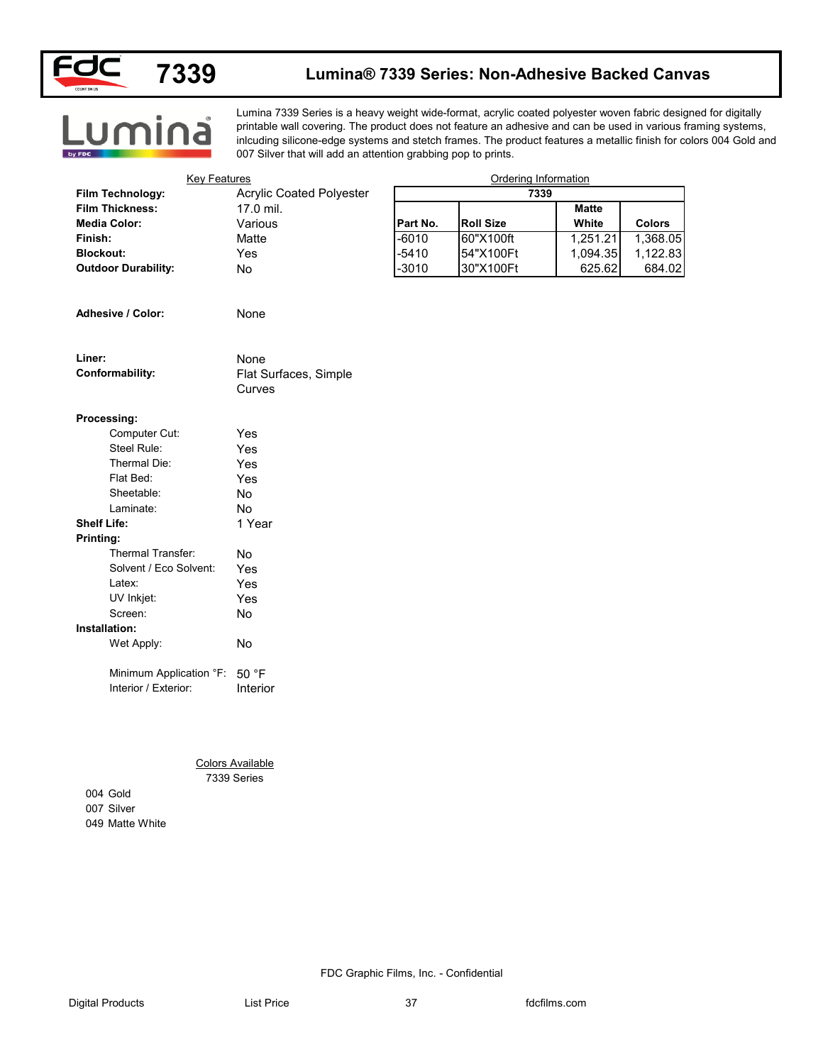

#### **Lumina® 7339 Series: Non-Adhesive Backed Canvas**

**Lumina** 

Lumina 7339 Series is a heavy weight wide-format, acrylic coated polyester woven fabric designed for digitally printable wall covering. The product does not feature an adhesive and can be used in various framing systems, inlcuding silicone-edge systems and stetch frames. The product features a metallic finish for colors 004 Gold and 007 Silver that will add an attention grabbing pop to prints.

| <b>Key Features</b>           |                                 |          | Ordering Information |              |               |
|-------------------------------|---------------------------------|----------|----------------------|--------------|---------------|
| Film Technology:              | <b>Acrylic Coated Polyester</b> |          | 7339                 |              |               |
| <b>Film Thickness:</b>        | 17.0 mil.                       |          |                      | <b>Matte</b> |               |
| <b>Media Color:</b>           | Various                         | Part No. | <b>Roll Size</b>     | White        | <b>Colors</b> |
| Finish:                       | Matte                           | $-6010$  | 60"X100ft            | 1,251.21     | 1,368.05      |
| <b>Blockout:</b>              | Yes                             | $-5410$  | 54"X100Ft            | 1,094.35     | 1,122.83      |
| <b>Outdoor Durability:</b>    | No                              | $-3010$  | 30"X100Ft            | 625.62       | 684.02        |
| Adhesive / Color:             | None                            |          |                      |              |               |
|                               |                                 |          |                      |              |               |
| Liner:                        | None                            |          |                      |              |               |
| Conformability:               | Flat Surfaces, Simple<br>Curves |          |                      |              |               |
| Processing:                   |                                 |          |                      |              |               |
| Computer Cut:                 | Yes                             |          |                      |              |               |
| Steel Rule:                   | Yes                             |          |                      |              |               |
| Thermal Die:                  | Yes                             |          |                      |              |               |
| Flat Bed:                     | Yes                             |          |                      |              |               |
| Sheetable:                    | No                              |          |                      |              |               |
| Laminate:                     | No                              |          |                      |              |               |
| <b>Shelf Life:</b>            | 1 Year                          |          |                      |              |               |
| Printing:                     |                                 |          |                      |              |               |
| Thermal Transfer:             | No                              |          |                      |              |               |
| Solvent / Eco Solvent:        | Yes                             |          |                      |              |               |
| Latex:                        | Yes                             |          |                      |              |               |
| UV Inkjet:                    | Yes                             |          |                      |              |               |
| Screen:                       | $\operatorname{\mathsf{No}}$    |          |                      |              |               |
| Installation:                 |                                 |          |                      |              |               |
| Wet Apply:                    | No                              |          |                      |              |               |
| Minimum Application °F: 50 °F |                                 |          |                      |              |               |
| Interior / Exterior:          | Interior                        |          |                      |              |               |
|                               |                                 |          |                      |              |               |
|                               |                                 |          |                      |              |               |
|                               | <b>Colors Available</b>         |          |                      |              |               |
|                               | 7339 Series                     |          |                      |              |               |
| 004 Gold                      |                                 |          |                      |              |               |
| 007 Silver                    |                                 |          |                      |              |               |
| 049 Matte White               |                                 |          |                      |              |               |
|                               |                                 |          |                      |              |               |
|                               |                                 |          |                      |              |               |
|                               |                                 |          |                      |              |               |
|                               |                                 |          |                      |              |               |
|                               |                                 |          |                      |              |               |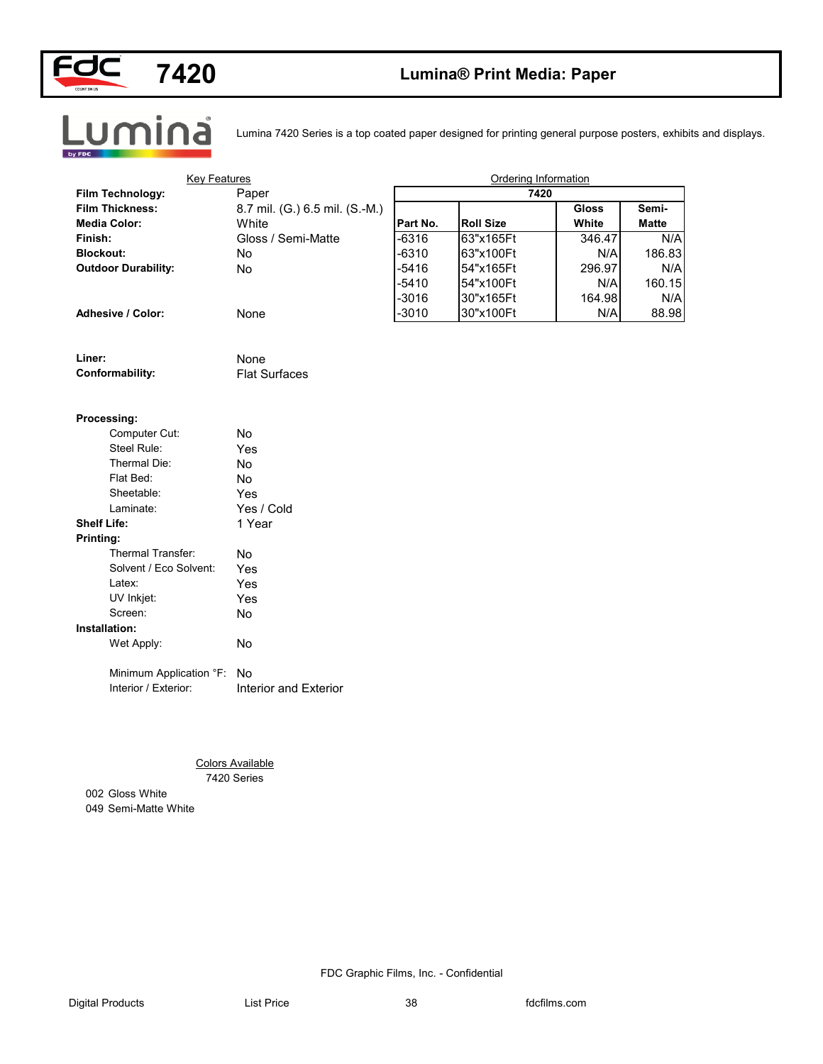



### **Lumina® Print Media: Paper**



Lumina 7420 Series is a top coated paper designed for printing general purpose posters, exhibits and displays.

| <b>Key Features</b>        |                                |                    | Ordering Information   |               |              |
|----------------------------|--------------------------------|--------------------|------------------------|---------------|--------------|
| Film Technology:           | Paper                          |                    | 7420                   |               |              |
| <b>Film Thickness:</b>     | 8.7 mil. (G.) 6.5 mil. (S.-M.) |                    |                        | <b>Gloss</b>  | Semi-        |
| <b>Media Color:</b>        | White                          | Part No.           | <b>Roll Size</b>       | White         | <b>Matte</b> |
| Finish:                    | Gloss / Semi-Matte             | $-6316$            | 63"x165Ft              | 346.47        | N/A          |
| <b>Blockout:</b>           | No                             | $-6310$            | 63"x100Ft              | N/A           | 186.83       |
| <b>Outdoor Durability:</b> | No                             | $-5416$<br>$-5410$ | 54"x165Ft              | 296.97        | N/A          |
|                            |                                | $-3016$            | 54"x100Ft              | N/A           | 160.15       |
| Adhesive / Color:          | None                           | $-3010$            | 30"x165Ft<br>30"x100Ft | 164.98<br>N/A | N/A<br>88.98 |
|                            |                                |                    |                        |               |              |
| Liner:                     | None                           |                    |                        |               |              |
| Conformability:            | <b>Flat Surfaces</b>           |                    |                        |               |              |
|                            |                                |                    |                        |               |              |
| Processing:                |                                |                    |                        |               |              |
| Computer Cut:              | No                             |                    |                        |               |              |
| Steel Rule:                | Yes                            |                    |                        |               |              |
| Thermal Die:               | No                             |                    |                        |               |              |
| Flat Bed:                  | No                             |                    |                        |               |              |
| Sheetable:                 | Yes                            |                    |                        |               |              |
| Laminate:                  | Yes / Cold                     |                    |                        |               |              |
| <b>Shelf Life:</b>         | 1 Year                         |                    |                        |               |              |
| Printing:                  |                                |                    |                        |               |              |
| Thermal Transfer:          | No                             |                    |                        |               |              |
| Solvent / Eco Solvent:     | Yes                            |                    |                        |               |              |
| Latex:                     | Yes                            |                    |                        |               |              |
| UV Inkjet:                 | Yes                            |                    |                        |               |              |
| Screen:                    | No                             |                    |                        |               |              |
| Installation:              |                                |                    |                        |               |              |
| Wet Apply:                 | No                             |                    |                        |               |              |
| Minimum Application °F: No |                                |                    |                        |               |              |
| Interior / Exterior:       | Interior and Exterior          |                    |                        |               |              |
|                            |                                |                    |                        |               |              |
|                            |                                |                    |                        |               |              |
|                            | <b>Colors Available</b>        |                    |                        |               |              |
|                            | 7420 Series                    |                    |                        |               |              |
| 002 Gloss White            |                                |                    |                        |               |              |
| 049 Semi-Matte White       |                                |                    |                        |               |              |
|                            |                                |                    |                        |               |              |
|                            |                                |                    |                        |               |              |
|                            |                                |                    |                        |               |              |
|                            |                                |                    |                        |               |              |
|                            |                                |                    |                        |               |              |
|                            |                                |                    |                        |               |              |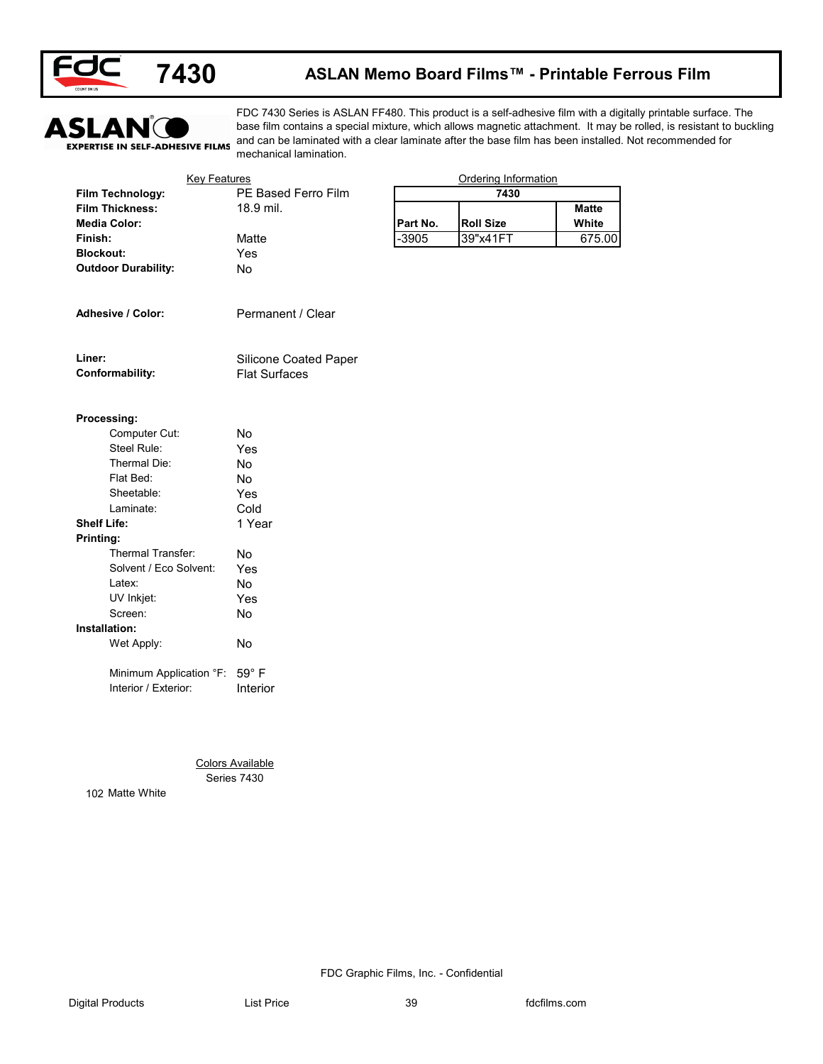

### **ASLAN Memo Board Films™ - Printable Ferrous Film**



FDC 7430 Series is ASLAN FF480. This product is a self-adhesive film with a digitally printable surface. The base film contains a special mixture, which allows magnetic attachment. It may be rolled, is resistant to buckling and can be laminated with a clear laminate after the base film has been installed. Not recommended for mechanical lamination.

|                                | <b>Key Features</b>          |          | Ordering Information |              |
|--------------------------------|------------------------------|----------|----------------------|--------------|
| Film Technology:               | PE Based Ferro Film          |          | 7430                 |              |
| <b>Film Thickness:</b>         | 18.9 mil.                    |          |                      | <b>Matte</b> |
| <b>Media Color:</b>            |                              | Part No. | <b>Roll Size</b>     | White        |
| Finish:                        | Matte                        | $-3905$  | 39"x41FT             | 675.00       |
| <b>Blockout:</b>               | Yes                          |          |                      |              |
| <b>Outdoor Durability:</b>     | No                           |          |                      |              |
| Adhesive / Color:              | Permanent / Clear            |          |                      |              |
|                                |                              |          |                      |              |
| Liner:                         | Silicone Coated Paper        |          |                      |              |
| Conformability:                | <b>Flat Surfaces</b>         |          |                      |              |
|                                |                              |          |                      |              |
| Processing:                    |                              |          |                      |              |
| Computer Cut:                  | No                           |          |                      |              |
| Steel Rule:                    | Yes                          |          |                      |              |
| Thermal Die:                   | No                           |          |                      |              |
| Flat Bed:                      | No                           |          |                      |              |
| Sheetable:                     | Yes                          |          |                      |              |
| Laminate:                      | Cold                         |          |                      |              |
| <b>Shelf Life:</b>             | 1 Year                       |          |                      |              |
| Printing:                      |                              |          |                      |              |
| Thermal Transfer:              | No                           |          |                      |              |
| Solvent / Eco Solvent:         | Yes                          |          |                      |              |
| Latex:                         | No                           |          |                      |              |
| UV Inkjet:                     | Yes                          |          |                      |              |
| Screen:                        | $\operatorname{\mathsf{No}}$ |          |                      |              |
| Installation:                  |                              |          |                      |              |
| Wet Apply:                     | No                           |          |                      |              |
| Minimum Application °F:        | $59^{\circ}$ F               |          |                      |              |
| Interior / Exterior:           | Interior                     |          |                      |              |
|                                |                              |          |                      |              |
|                                |                              |          |                      |              |
|                                |                              |          |                      |              |
|                                | <b>Colors Available</b>      |          |                      |              |
|                                |                              |          |                      |              |
| Series 7430<br>102 Matte White |                              |          |                      |              |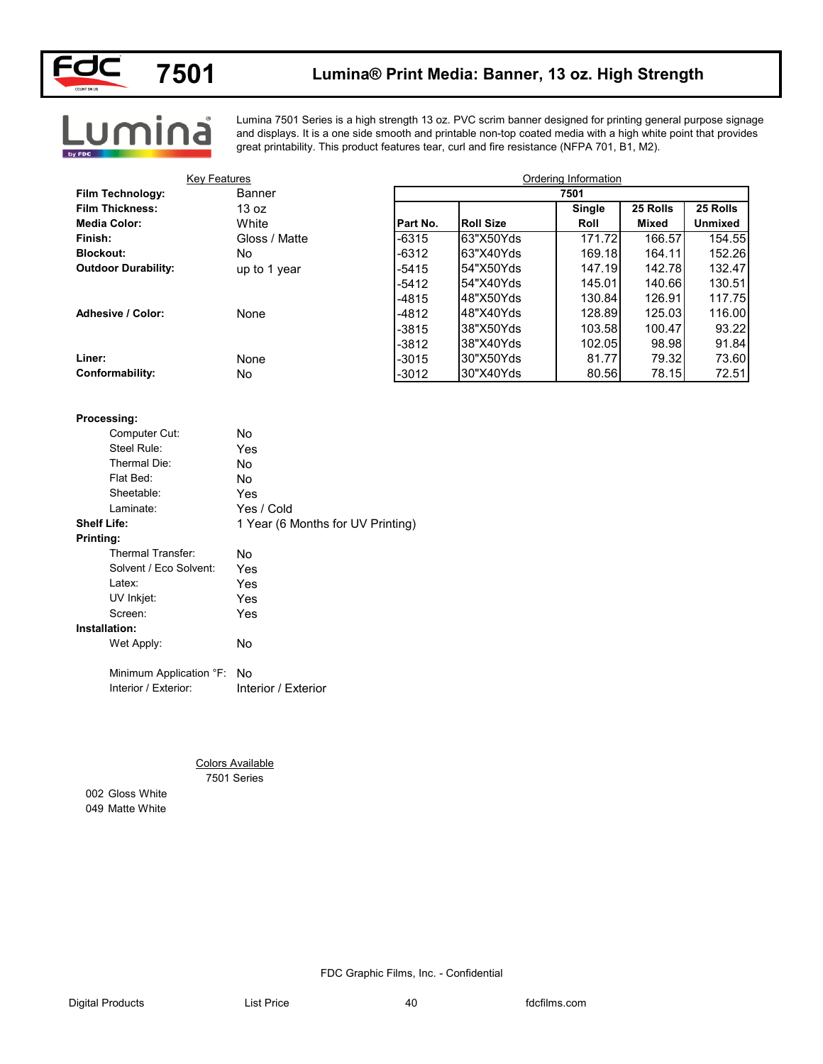

### **Lumina® Print Media: Banner, 13 oz. High Strength**

<u>umina</u>

Lumina 7501 Series is a high strength 13 oz. PVC scrim banner designed for printing general purpose signage and displays. It is a one side smooth and printable non-top coated media with a high white point that provides great printability. This product features tear, curl and fire resistance (NFPA 701, B1, M2).

| <b>Key Features</b>        |                                        |          |                  | Ordering Information |              |                |
|----------------------------|----------------------------------------|----------|------------------|----------------------|--------------|----------------|
| Film Technology:           | Banner                                 |          |                  | 7501                 |              |                |
| <b>Film Thickness:</b>     | 13 oz                                  |          |                  | <b>Single</b>        | 25 Rolls     | 25 Rolls       |
| <b>Media Color:</b>        | White                                  | Part No. | <b>Roll Size</b> | Roll                 | <b>Mixed</b> | <b>Unmixed</b> |
| Finish:                    | Gloss / Matte                          | $-6315$  | 63"X50Yds        | 171.72               | 166.57       | 154.55         |
| <b>Blockout:</b>           | No                                     | $-6312$  | 63"X40Yds        | 169.18               | 164.11       | 152.26         |
| <b>Outdoor Durability:</b> | up to 1 year                           | $-5415$  | 54"X50Yds        | 147.19               | 142.78       | 132.47         |
|                            |                                        | $-5412$  | 54"X40Yds        | 145.01               | 140.66       | 130.51         |
|                            |                                        | $-4815$  | 48"X50Yds        | 130.84               | 126.91       | 117.75         |
| <b>Adhesive / Color:</b>   | None                                   | $-4812$  | 48"X40Yds        | 128.89               | 125.03       | 116.00         |
|                            |                                        | $-3815$  | 38"X50Yds        | 103.58               | 100.47       | 93.22          |
|                            |                                        | $-3812$  | 38"X40Yds        | 102.05               | 98.98        | 91.84          |
| Liner:                     | None                                   | $-3015$  | 30"X50Yds        | 81.77                | 79.32        | 73.60          |
| Conformability:            | No                                     | $-3012$  | 30"X40Yds        | 80.56                | 78.15        | 72.51          |
|                            |                                        |          |                  |                      |              |                |
| Processing:                |                                        |          |                  |                      |              |                |
| Computer Cut:              | No                                     |          |                  |                      |              |                |
| Steel Rule:                | Yes                                    |          |                  |                      |              |                |
| Thermal Die:               | No                                     |          |                  |                      |              |                |
| Flat Bed:                  | No                                     |          |                  |                      |              |                |
| Sheetable:                 | Yes                                    |          |                  |                      |              |                |
| Laminate:                  | Yes / Cold                             |          |                  |                      |              |                |
| <b>Shelf Life:</b>         | 1 Year (6 Months for UV Printing)      |          |                  |                      |              |                |
| Printing:                  |                                        |          |                  |                      |              |                |
| Thermal Transfer:          | No                                     |          |                  |                      |              |                |
| Solvent / Eco Solvent:     | Yes                                    |          |                  |                      |              |                |
| Latex:                     | Yes                                    |          |                  |                      |              |                |
| UV Inkjet:                 | Yes                                    |          |                  |                      |              |                |
| Screen:                    | Yes                                    |          |                  |                      |              |                |
| Installation:              |                                        |          |                  |                      |              |                |
| Wet Apply:                 | No                                     |          |                  |                      |              |                |
| Minimum Application °F:    | No                                     |          |                  |                      |              |                |
| Interior / Exterior:       | Interior / Exterior                    |          |                  |                      |              |                |
|                            |                                        |          |                  |                      |              |                |
|                            |                                        |          |                  |                      |              |                |
|                            |                                        |          |                  |                      |              |                |
|                            | <b>Colors Available</b><br>7501 Series |          |                  |                      |              |                |
| 002 Gloss White            |                                        |          |                  |                      |              |                |
|                            |                                        |          |                  |                      |              |                |
| 049 Matte White            |                                        |          |                  |                      |              |                |
|                            |                                        |          |                  |                      |              |                |
|                            |                                        |          |                  |                      |              |                |
|                            |                                        |          |                  |                      |              |                |
|                            |                                        |          |                  |                      |              |                |
|                            |                                        |          |                  |                      |              |                |

#### **Processing:**

| Computer Cut:            | No                                |
|--------------------------|-----------------------------------|
| Steel Rule:              | Yes                               |
| Thermal Die:             | No                                |
| Flat Bed:                | No                                |
| Sheetable:               | Yes                               |
| Laminate:                | Yes / Cold                        |
| <b>Shelf Life:</b>       | 1 Year (6 Months for UV Printing) |
| Printing:                |                                   |
| <b>Thermal Transfer:</b> | No                                |
| Solvent / Eco Solvent:   | Yes                               |
| Latex:                   | Yes                               |
| UV Inkjet:               | Yes                               |
| Screen:                  | Yes                               |
| Installation:            |                                   |

| Wet Apply: | No |
|------------|----|
|            |    |
|            |    |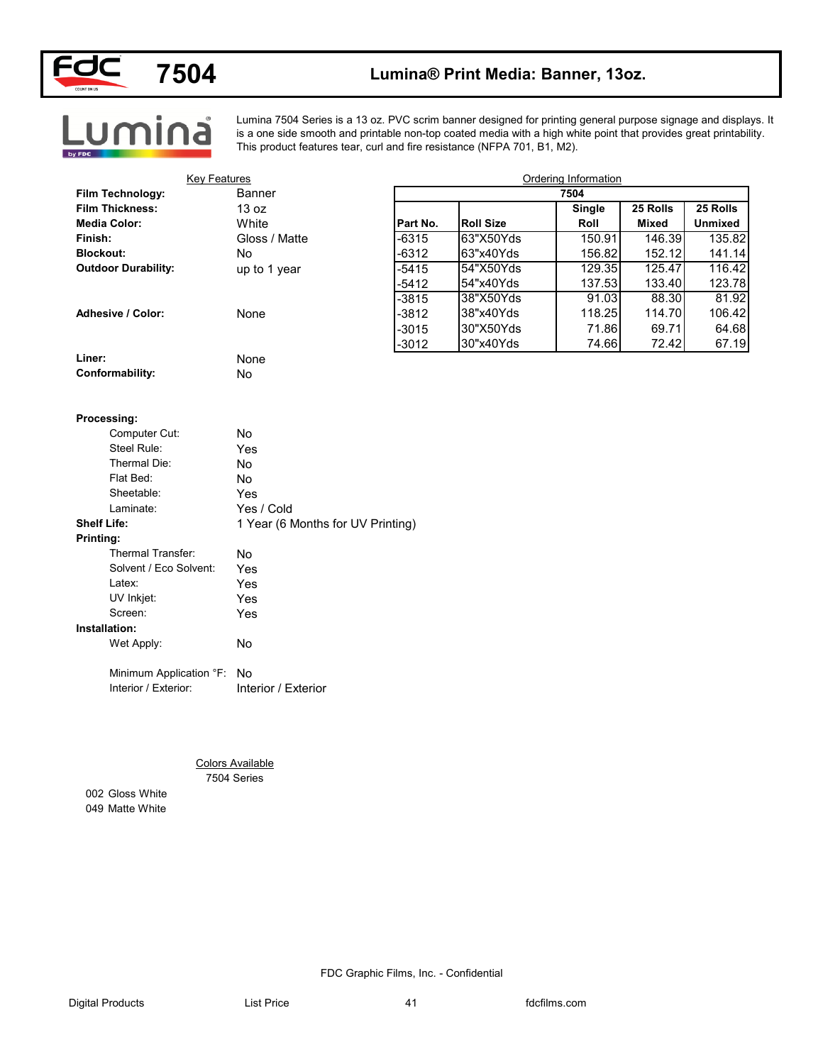

Lumina

## **7504 Lumina® Print Media: Banner, 13oz.**

Lumina 7504 Series is a 13 oz. PVC scrim banner designed for printing general purpose signage and displays. It is a one side smooth and printable non-top coated media with a high white point that provides great printability. This product features tear, curl and fire resistance (NFPA 701, B1, M2).

| <b>Key Features</b>        |                                   |          |                  | Ordering Information |              |                |
|----------------------------|-----------------------------------|----------|------------------|----------------------|--------------|----------------|
| Film Technology:           | Banner                            |          |                  | 7504                 |              |                |
| <b>Film Thickness:</b>     | 13 oz                             |          |                  | <b>Single</b>        | 25 Rolls     | 25 Rolls       |
| <b>Media Color:</b>        | White                             | Part No. | <b>Roll Size</b> | Roll                 | <b>Mixed</b> | <b>Unmixed</b> |
| Finish:                    | Gloss / Matte                     | $-6315$  | 63"X50Yds        | 150.91               | 146.39       | 135.82         |
| <b>Blockout:</b>           | No                                | $-6312$  | 63"x40Yds        | 156.82               | 152.12       | 141.14         |
| <b>Outdoor Durability:</b> | up to 1 year                      | $-5415$  | 54"X50Yds        | 129.35               | 125.47       | 116.42         |
|                            |                                   | $-5412$  | 54"x40Yds        | 137.53               | 133.40       | 123.78         |
|                            |                                   | $-3815$  | 38"X50Yds        | 91.03                | 88.30        | 81.92          |
| <b>Adhesive / Color:</b>   | None                              | $-3812$  | 38"x40Yds        | 118.25               | 114.70       | 106.42         |
|                            |                                   | $-3015$  | 30"X50Yds        | 71.86                | 69.71        | 64.68          |
|                            |                                   | $-3012$  | 30"x40Yds        | 74.66                | 72.42        | 67.19          |
| Liner:                     | None                              |          |                  |                      |              |                |
| Conformability:            | No                                |          |                  |                      |              |                |
| Processing:                |                                   |          |                  |                      |              |                |
| Computer Cut:              | No                                |          |                  |                      |              |                |
| Steel Rule:                | Yes                               |          |                  |                      |              |                |
| Thermal Die:               | No                                |          |                  |                      |              |                |
| Flat Bed:                  | No                                |          |                  |                      |              |                |
| Sheetable:                 | Yes                               |          |                  |                      |              |                |
| Laminate:                  | Yes / Cold                        |          |                  |                      |              |                |
| <b>Shelf Life:</b>         | 1 Year (6 Months for UV Printing) |          |                  |                      |              |                |
| Printing:                  |                                   |          |                  |                      |              |                |
| Thermal Transfer:          | No                                |          |                  |                      |              |                |
| Solvent / Eco Solvent:     | Yes                               |          |                  |                      |              |                |
| Latex:                     | Yes                               |          |                  |                      |              |                |
| UV Inkjet:                 | Yes                               |          |                  |                      |              |                |
| Screen:                    | Yes                               |          |                  |                      |              |                |
| Installation:              |                                   |          |                  |                      |              |                |
| Wet Apply:                 | No                                |          |                  |                      |              |                |
|                            |                                   |          |                  |                      |              |                |
| Minimum Application °F: No |                                   |          |                  |                      |              |                |
| Interior / Exterior:       | Interior / Exterior               |          |                  |                      |              |                |
|                            |                                   |          |                  |                      |              |                |
|                            |                                   |          |                  |                      |              |                |
|                            |                                   |          |                  |                      |              |                |
|                            |                                   |          |                  |                      |              |                |
|                            | <b>Colors Available</b>           |          |                  |                      |              |                |
|                            | 7504 Series                       |          |                  |                      |              |                |
| 002 Gloss White            |                                   |          |                  |                      |              |                |
| 049 Matte White            |                                   |          |                  |                      |              |                |
|                            |                                   |          |                  |                      |              |                |
|                            |                                   |          |                  |                      |              |                |
|                            |                                   |          |                  |                      |              |                |
|                            |                                   |          |                  |                      |              |                |
|                            |                                   |          |                  |                      |              |                |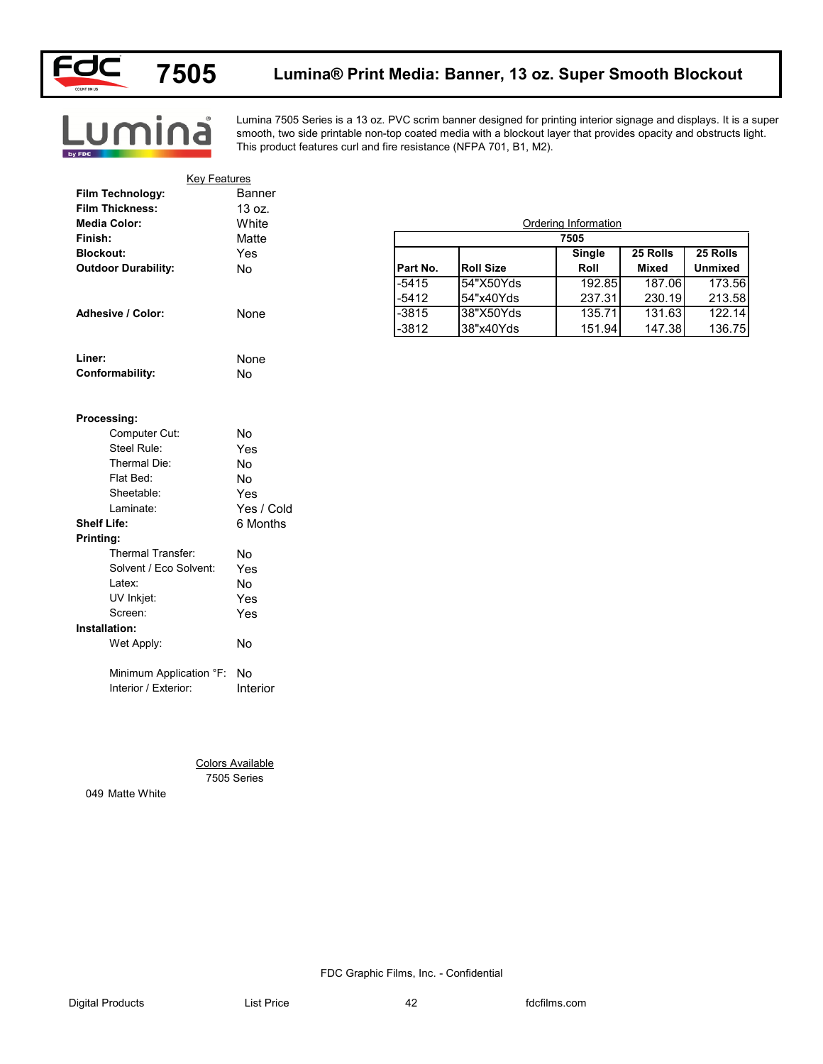

Lumina

### **Lumina® Print Media: Banner, 13 oz. Super Smooth Blockout**

Lumina 7505 Series is a 13 oz. PVC scrim banner designed for printing interior signage and displays. It is a super smooth, two side printable non-top coated media with a blockout layer that provides opacity and obstructs light. This product features curl and fire resistance (NFPA 701, B1, M2).

| <b>Key Features</b>        |                         |          |                  |                      |              |                |
|----------------------------|-------------------------|----------|------------------|----------------------|--------------|----------------|
| Film Technology:           | Banner                  |          |                  |                      |              |                |
| <b>Film Thickness:</b>     | 13 oz.                  |          |                  |                      |              |                |
| <b>Media Color:</b>        | White                   |          |                  | Ordering Information |              |                |
| Finish:                    | Matte                   |          |                  | 7505                 |              |                |
| <b>Blockout:</b>           | Yes                     |          |                  | Single               | 25 Rolls     | 25 Rolls       |
| <b>Outdoor Durability:</b> | No                      | Part No. | <b>Roll Size</b> | Roll                 | <b>Mixed</b> | <b>Unmixed</b> |
|                            |                         | $-5415$  | 54"X50Yds        | 192.85               | 187.06       | 173.56         |
|                            |                         | $-5412$  | 54"x40Yds        | 237.31               | 230.19       | 213.58         |
| Adhesive / Color:          | None                    | $-3815$  | 38"X50Yds        | 135.71               | 131.63       | 122.14         |
|                            |                         | $-3812$  | 38"x40Yds        | 151.94               | 147.38       | 136.75         |
| Liner:                     | None                    |          |                  |                      |              |                |
| Conformability:            | No                      |          |                  |                      |              |                |
|                            |                         |          |                  |                      |              |                |
| Processing:                |                         |          |                  |                      |              |                |
| Computer Cut:              | No                      |          |                  |                      |              |                |
| Steel Rule:                | Yes                     |          |                  |                      |              |                |
| Thermal Die:               | No                      |          |                  |                      |              |                |
| Flat Bed:                  | No                      |          |                  |                      |              |                |
| Sheetable:                 | Yes                     |          |                  |                      |              |                |
| Laminate:                  | Yes / Cold              |          |                  |                      |              |                |
| <b>Shelf Life:</b>         | 6 Months                |          |                  |                      |              |                |
| Printing:                  |                         |          |                  |                      |              |                |
| Thermal Transfer:          | No                      |          |                  |                      |              |                |
| Solvent / Eco Solvent:     | Yes                     |          |                  |                      |              |                |
| Latex:                     | No                      |          |                  |                      |              |                |
| UV Inkjet:                 | Yes                     |          |                  |                      |              |                |
| Screen:                    | Yes                     |          |                  |                      |              |                |
| Installation:              |                         |          |                  |                      |              |                |
| Wet Apply:                 | No                      |          |                  |                      |              |                |
| Minimum Application °F:    | No                      |          |                  |                      |              |                |
| Interior / Exterior:       | Interior                |          |                  |                      |              |                |
|                            |                         |          |                  |                      |              |                |
|                            |                         |          |                  |                      |              |                |
|                            | <b>Colors Available</b> |          |                  |                      |              |                |
|                            | 7505 Series             |          |                  |                      |              |                |
| 049 Matte White            |                         |          |                  |                      |              |                |
|                            |                         |          |                  |                      |              |                |
|                            |                         |          |                  |                      |              |                |
|                            |                         |          |                  |                      |              |                |
|                            |                         |          |                  |                      |              |                |
|                            |                         |          |                  |                      |              |                |
|                            |                         |          |                  |                      |              |                |

#### **Processing:**

| Computer Cut:            | N٥         |
|--------------------------|------------|
| Steel Rule:              | Yes        |
| Thermal Die:             | N٥         |
| Flat Bed:                | No         |
| Sheetable:               | Yes        |
| Laminate:                | Yes / Cold |
| <b>Shelf Life:</b>       | 6 Months   |
| Printing:                |            |
| <b>Thermal Transfer:</b> | N٥         |
| Solvent / Eco Solvent:   | Yes        |
| Latex:                   | N٥         |
| UV Inkjet:               | Yes        |
| Screen:                  | Yes        |
| Installation:            |            |
| Wet Apply:               | No         |
| Minimum Application °F:  | No         |
| Interior / Exterior:     | Interior   |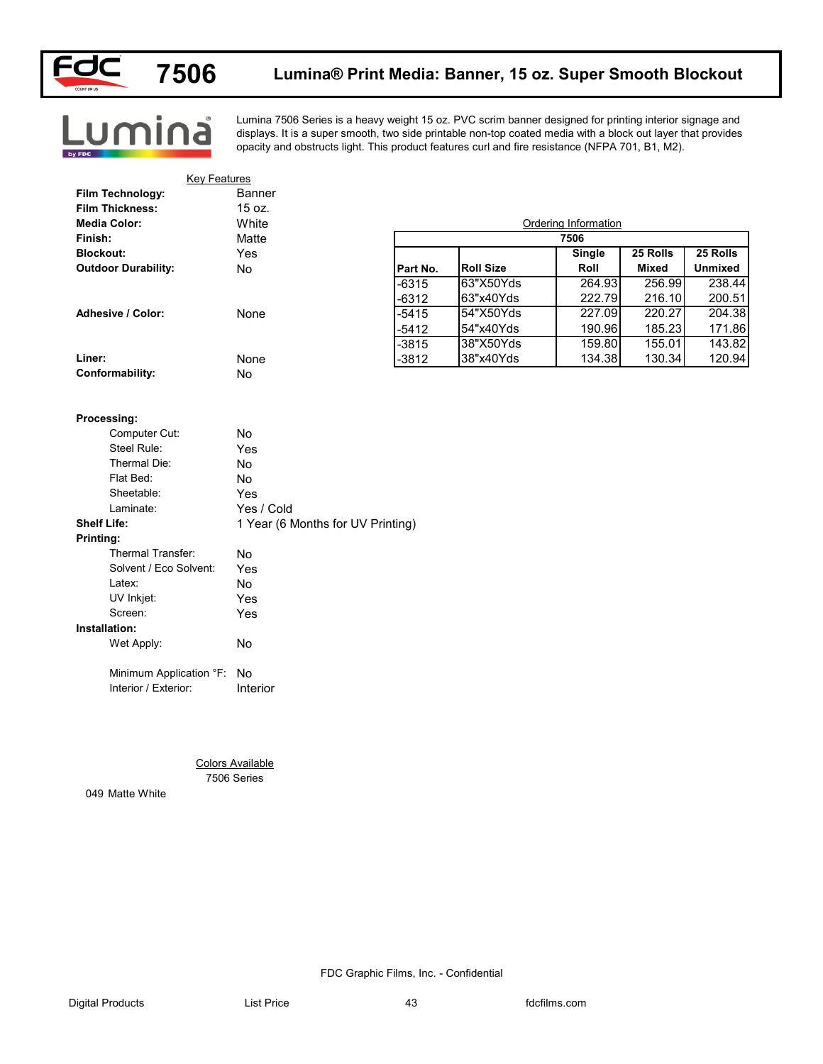

<u>.umina</u>

#### **Lumina® Print Media: Banner, 15 oz. Super Smooth Blockout**

Lumina 7506 Series is a heavy weight 15 oz. PVC scrim banner designed for printing interior signage and displays. It is a super smooth, two side printable non-top coated media with a block out layer that provides opacity and obstructs light. This product features curl and fire resistance (NFPA 701, B1, M2).

| <b>Key Features</b>                   |                                        |          |                  |                      |                          |                            |
|---------------------------------------|----------------------------------------|----------|------------------|----------------------|--------------------------|----------------------------|
| Film Technology:                      | Banner                                 |          |                  |                      |                          |                            |
| <b>Film Thickness:</b>                | 15 oz.                                 |          |                  |                      |                          |                            |
| <b>Media Color:</b>                   | White                                  |          |                  | Ordering Information |                          |                            |
| Finish:                               | Matte                                  |          |                  | 7506                 |                          |                            |
| <b>Blockout:</b>                      | Yes<br>No                              | Part No. | <b>Roll Size</b> | Single<br>Roll       | 25 Rolls<br><b>Mixed</b> | 25 Rolls<br><b>Unmixed</b> |
| <b>Outdoor Durability:</b>            |                                        | $-6315$  | 63"X50Yds        | 264.93               | 256.99                   | 238.44                     |
|                                       |                                        | $-6312$  | 63"x40Yds        | 222.79               | 216.10                   | 200.51                     |
| Adhesive / Color:                     | None                                   | $-5415$  | 54"X50Yds        | 227.09               | 220.27                   | 204.38                     |
|                                       |                                        | $-5412$  | 54"x40Yds        | 190.96               | 185.23                   | 171.86                     |
|                                       |                                        | $-3815$  | 38"X50Yds        | 159.80               | 155.01                   | 143.82                     |
| Liner:                                | None                                   | $-3812$  | 38"x40Yds        | 134.38               | 130.34                   | 120.94                     |
| Conformability:                       | No                                     |          |                  |                      |                          |                            |
| Processing:<br>Computer Cut:          | No                                     |          |                  |                      |                          |                            |
| Steel Rule:                           | Yes                                    |          |                  |                      |                          |                            |
| Thermal Die:                          | No                                     |          |                  |                      |                          |                            |
| Flat Bed:                             | No                                     |          |                  |                      |                          |                            |
| Sheetable:                            | Yes                                    |          |                  |                      |                          |                            |
| Laminate:                             | Yes / Cold                             |          |                  |                      |                          |                            |
| <b>Shelf Life:</b>                    | 1 Year (6 Months for UV Printing)      |          |                  |                      |                          |                            |
| <b>Printing:</b><br>Thermal Transfer: |                                        |          |                  |                      |                          |                            |
| Solvent / Eco Solvent:                | No                                     |          |                  |                      |                          |                            |
| Latex:                                | Yes                                    |          |                  |                      |                          |                            |
| UV Inkjet:                            | No<br>Yes                              |          |                  |                      |                          |                            |
| Screen:                               | Yes                                    |          |                  |                      |                          |                            |
| Installation:                         |                                        |          |                  |                      |                          |                            |
| Wet Apply:                            | No                                     |          |                  |                      |                          |                            |
|                                       |                                        |          |                  |                      |                          |                            |
| Minimum Application °F: No            |                                        |          |                  |                      |                          |                            |
| Interior / Exterior:                  | Interior                               |          |                  |                      |                          |                            |
|                                       |                                        |          |                  |                      |                          |                            |
|                                       | <b>Colors Available</b><br>7506 Series |          |                  |                      |                          |                            |
| 049 Matte White                       |                                        |          |                  |                      |                          |                            |
|                                       |                                        |          |                  |                      |                          |                            |
|                                       |                                        |          |                  |                      |                          |                            |
|                                       |                                        |          |                  |                      |                          |                            |
|                                       |                                        |          |                  |                      |                          |                            |
|                                       |                                        |          |                  |                      |                          |                            |

#### **Processing:**

| Computer Cut:          | No                                |
|------------------------|-----------------------------------|
| Steel Rule:            | Yes                               |
| Thermal Die:           | No.                               |
| Flat Bed:              | No                                |
| Sheetable:             | Yes                               |
| Laminate:              | Yes / Cold                        |
| <b>Shelf Life:</b>     | 1 Year (6 Months for UV Printing) |
| Printing:              |                                   |
| Thermal Transfer:      | No                                |
| Solvent / Eco Solvent: | Yes                               |
| Latex:                 | No                                |
| UV Inkjet:             | Yes                               |
| Screen:                | Yes                               |
| Installation:          |                                   |
| Wet Apply:             | No                                |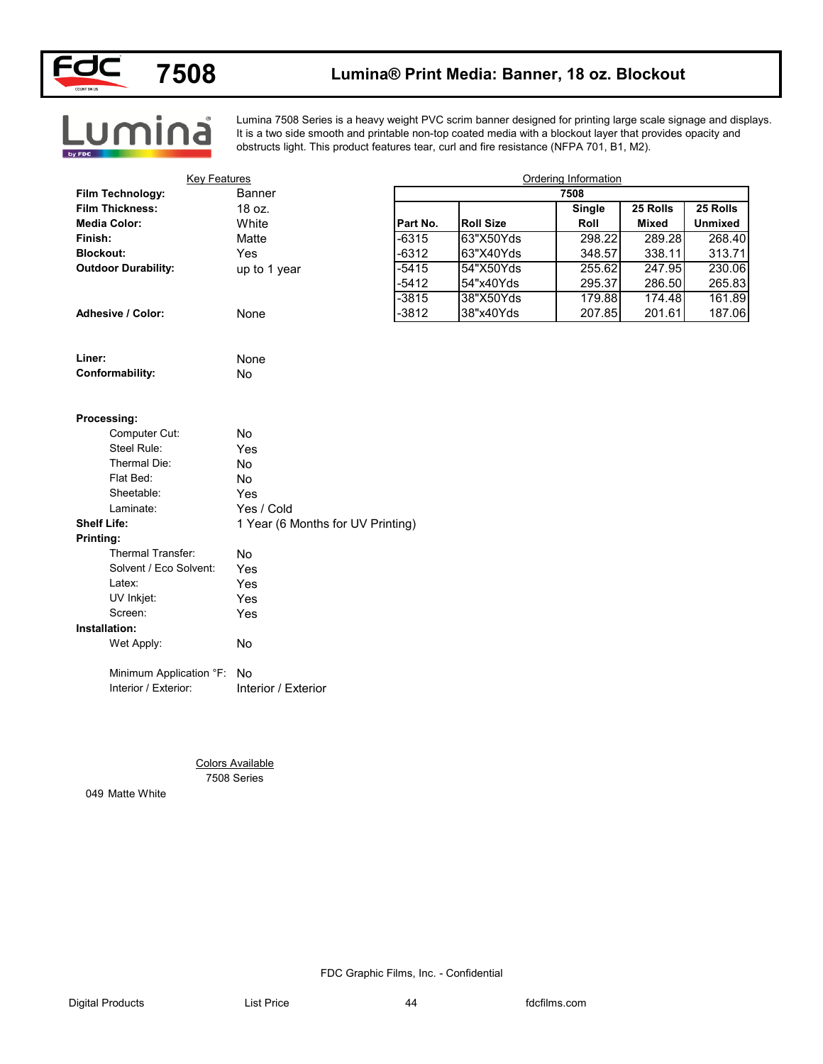

### **Lumina® Print Media: Banner, 18 oz. Blockout**

**Lumina** 

Lumina 7508 Series is a heavy weight PVC scrim banner designed for printing large scale signage and displays. It is a two side smooth and printable non-top coated media with a blockout layer that provides opacity and obstructs light. This product features tear, curl and fire resistance (NFPA 701, B1, M2).

| Banner<br>18 oz.<br>White<br>Matte<br>Yes<br>up to 1 year<br>None | Part No.<br>$-6315$<br>$-6312$<br>$-5415$<br>$-5412$<br>$-3815$<br>$-3812$                    | <b>Roll Size</b><br>63"X50Yds<br>63"X40Yds<br>54"X50Yds<br>54"x40Yds<br>38"X50Yds<br>38"x40Yds | 7508<br><b>Single</b><br>Roll<br>298.22<br>348.57<br>255.62<br>295.37<br>179.88 | 25 Rolls<br><b>Mixed</b><br>289.28<br>338.11<br>247.95<br>286.50<br>174.48 | 25 Rolls<br><b>Unmixed</b>           |
|-------------------------------------------------------------------|-----------------------------------------------------------------------------------------------|------------------------------------------------------------------------------------------------|---------------------------------------------------------------------------------|----------------------------------------------------------------------------|--------------------------------------|
|                                                                   |                                                                                               |                                                                                                |                                                                                 |                                                                            | 268.40<br>313.71<br>230.06<br>265.83 |
|                                                                   |                                                                                               |                                                                                                |                                                                                 |                                                                            |                                      |
|                                                                   |                                                                                               |                                                                                                |                                                                                 |                                                                            |                                      |
|                                                                   |                                                                                               |                                                                                                |                                                                                 |                                                                            |                                      |
|                                                                   |                                                                                               |                                                                                                |                                                                                 |                                                                            |                                      |
|                                                                   |                                                                                               |                                                                                                |                                                                                 |                                                                            |                                      |
|                                                                   |                                                                                               |                                                                                                |                                                                                 |                                                                            |                                      |
|                                                                   |                                                                                               |                                                                                                |                                                                                 |                                                                            | 161.89                               |
|                                                                   |                                                                                               |                                                                                                | 207.85                                                                          | 201.61                                                                     | 187.06                               |
|                                                                   |                                                                                               |                                                                                                |                                                                                 |                                                                            |                                      |
| None                                                              |                                                                                               |                                                                                                |                                                                                 |                                                                            |                                      |
| No                                                                |                                                                                               |                                                                                                |                                                                                 |                                                                            |                                      |
|                                                                   |                                                                                               |                                                                                                |                                                                                 |                                                                            |                                      |
|                                                                   |                                                                                               |                                                                                                |                                                                                 |                                                                            |                                      |
|                                                                   |                                                                                               |                                                                                                |                                                                                 |                                                                            |                                      |
|                                                                   |                                                                                               |                                                                                                |                                                                                 |                                                                            |                                      |
|                                                                   |                                                                                               |                                                                                                |                                                                                 |                                                                            |                                      |
|                                                                   |                                                                                               |                                                                                                |                                                                                 |                                                                            |                                      |
|                                                                   |                                                                                               |                                                                                                |                                                                                 |                                                                            |                                      |
|                                                                   |                                                                                               |                                                                                                |                                                                                 |                                                                            |                                      |
|                                                                   |                                                                                               |                                                                                                |                                                                                 |                                                                            |                                      |
|                                                                   |                                                                                               |                                                                                                |                                                                                 |                                                                            |                                      |
|                                                                   |                                                                                               |                                                                                                |                                                                                 |                                                                            |                                      |
|                                                                   |                                                                                               |                                                                                                |                                                                                 |                                                                            |                                      |
| Yes                                                               |                                                                                               |                                                                                                |                                                                                 |                                                                            |                                      |
| Yes                                                               |                                                                                               |                                                                                                |                                                                                 |                                                                            |                                      |
| Yes                                                               |                                                                                               |                                                                                                |                                                                                 |                                                                            |                                      |
|                                                                   |                                                                                               |                                                                                                |                                                                                 |                                                                            |                                      |
| No                                                                |                                                                                               |                                                                                                |                                                                                 |                                                                            |                                      |
| Minimum Application °F: No                                        |                                                                                               |                                                                                                |                                                                                 |                                                                            |                                      |
|                                                                   |                                                                                               |                                                                                                |                                                                                 |                                                                            |                                      |
|                                                                   |                                                                                               |                                                                                                |                                                                                 |                                                                            |                                      |
|                                                                   |                                                                                               |                                                                                                |                                                                                 |                                                                            |                                      |
| <b>Colors Available</b>                                           |                                                                                               |                                                                                                |                                                                                 |                                                                            |                                      |
|                                                                   |                                                                                               |                                                                                                |                                                                                 |                                                                            |                                      |
|                                                                   |                                                                                               |                                                                                                |                                                                                 |                                                                            |                                      |
|                                                                   | No<br>Yes<br>No<br>No<br>Yes<br>Yes / Cold<br>No<br>Yes<br>Interior / Exterior<br>7508 Series | 1 Year (6 Months for UV Printing)                                                              |                                                                                 |                                                                            |                                      |

#### **Processing:**

| Computer Cut:          | No                                |
|------------------------|-----------------------------------|
| Steel Rule:            | Yes                               |
| Thermal Die:           | No                                |
| Flat Bed:              | No                                |
| Sheetable:             | Yes                               |
| Laminate:              | Yes / Cold                        |
| <b>Shelf Life:</b>     | 1 Year (6 Months for UV Printing) |
| Printing:              |                                   |
| Thermal Transfer:      | No                                |
| Solvent / Eco Solvent: | Yes                               |
| Latex:                 | Yes                               |
| UV Inkjet:             | Yes                               |
| Screen:                | Yes                               |
| Installation:          |                                   |
| Wet Apply:             | No                                |
| $\sim$ $-$             |                                   |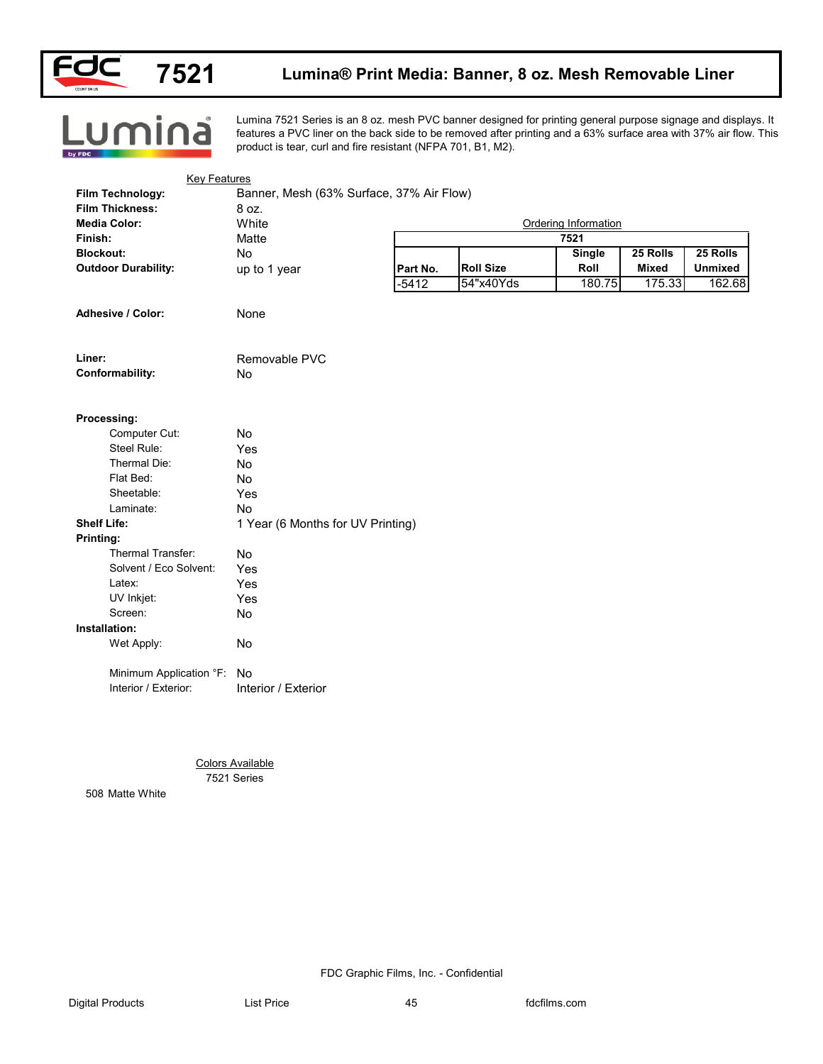

Lumina

### **Lumina® Print Media: Banner, 8 oz. Mesh Removable Liner**

Lumina 7521 Series is an 8 oz. mesh PVC banner designed for printing general purpose signage and displays. It features a PVC liner on the back side to be removed after printing and a 63% surface area with 37% air flow. This product is tear, curl and fire resistant (NFPA 701, B1, M2).

| <b>Film Thickness:</b><br><b>Media Color:</b> | 8 oz.<br>White                         | Ordering Information |                  |               |              |                |
|-----------------------------------------------|----------------------------------------|----------------------|------------------|---------------|--------------|----------------|
| Finish:                                       | Matte                                  |                      |                  | 7521          |              |                |
| <b>Blockout:</b>                              | No                                     |                      |                  | <b>Single</b> | 25 Rolls     | 25 Rolls       |
| <b>Outdoor Durability:</b>                    | up to 1 year                           | Part No.             | <b>Roll Size</b> | Roll          | <b>Mixed</b> | <b>Unmixed</b> |
|                                               |                                        | $-5412$              | 54"x40Yds        | 180.75        | 175.33       | 162.68         |
| Adhesive / Color:                             | None                                   |                      |                  |               |              |                |
| Liner:                                        | Removable PVC                          |                      |                  |               |              |                |
| Conformability:                               | No                                     |                      |                  |               |              |                |
| Processing:                                   |                                        |                      |                  |               |              |                |
| Computer Cut:                                 | No                                     |                      |                  |               |              |                |
| Steel Rule:                                   | Yes                                    |                      |                  |               |              |                |
| Thermal Die:                                  | No                                     |                      |                  |               |              |                |
| Flat Bed:                                     | No                                     |                      |                  |               |              |                |
| Sheetable:                                    | Yes                                    |                      |                  |               |              |                |
| Laminate:                                     | No                                     |                      |                  |               |              |                |
| <b>Shelf Life:</b>                            | 1 Year (6 Months for UV Printing)      |                      |                  |               |              |                |
| Printing:                                     |                                        |                      |                  |               |              |                |
| Thermal Transfer:                             | No                                     |                      |                  |               |              |                |
| Solvent / Eco Solvent:                        | Yes                                    |                      |                  |               |              |                |
| Latex:                                        | Yes                                    |                      |                  |               |              |                |
| UV Inkjet:                                    | Yes                                    |                      |                  |               |              |                |
| Screen:                                       | No                                     |                      |                  |               |              |                |
| Installation:                                 |                                        |                      |                  |               |              |                |
| Wet Apply:                                    | No                                     |                      |                  |               |              |                |
| Minimum Application °F: No                    |                                        |                      |                  |               |              |                |
| Interior / Exterior:                          | Interior / Exterior                    |                      |                  |               |              |                |
|                                               |                                        |                      |                  |               |              |                |
|                                               | <b>Colors Available</b><br>7521 Series |                      |                  |               |              |                |
| 508 Matte White                               |                                        |                      |                  |               |              |                |
|                                               |                                        |                      |                  |               |              |                |
|                                               |                                        |                      |                  |               |              |                |
|                                               |                                        |                      |                  |               |              |                |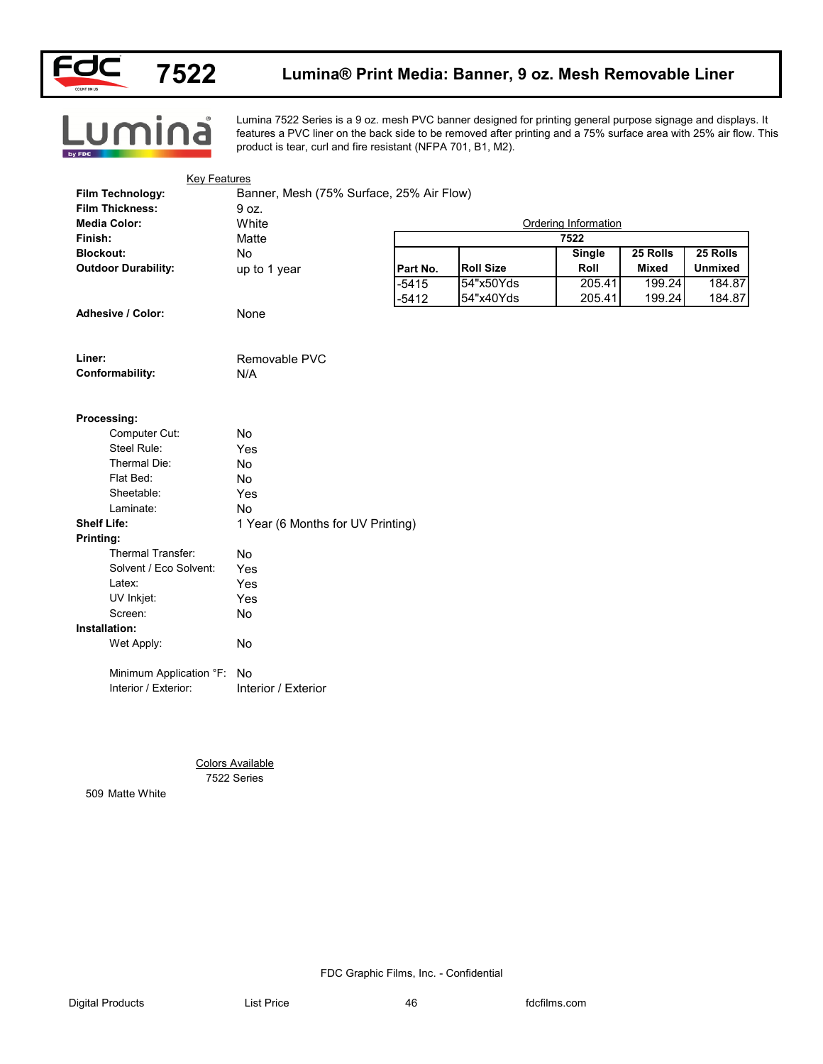

Lumina

### **Lumina® Print Media: Banner, 9 oz. Mesh Removable Liner**

Lumina 7522 Series is a 9 oz. mesh PVC banner designed for printing general purpose signage and displays. It features a PVC liner on the back side to be removed after printing and a 75% surface area with 25% air flow. This product is tear, curl and fire resistant (NFPA 701, B1, M2).

| Film Technology:           | Banner, Mesh (75% Surface, 25% Air Flow) |          |                  |                      |              |                |  |
|----------------------------|------------------------------------------|----------|------------------|----------------------|--------------|----------------|--|
| <b>Film Thickness:</b>     | 9 oz.                                    |          |                  |                      |              |                |  |
| <b>Media Color:</b>        | White                                    |          |                  | Ordering Information |              |                |  |
| Finish:                    | Matte                                    |          | 7522             |                      |              |                |  |
| <b>Blockout:</b>           | No                                       |          |                  | <b>Single</b>        | 25 Rolls     | 25 Rolls       |  |
| <b>Outdoor Durability:</b> | up to 1 year                             | Part No. | <b>Roll Size</b> | Roll                 | <b>Mixed</b> | <b>Unmixed</b> |  |
|                            |                                          | $-5415$  | 54"x50Yds        | 205.41               | 199.24       | 184.87         |  |
|                            |                                          | $-5412$  | 54"x40Yds        | 205.41               | 199.24       | 184.87         |  |
| Adhesive / Color:          | None                                     |          |                  |                      |              |                |  |
|                            |                                          |          |                  |                      |              |                |  |
| Liner:                     | Removable PVC                            |          |                  |                      |              |                |  |
| Conformability:            | N/A                                      |          |                  |                      |              |                |  |
|                            |                                          |          |                  |                      |              |                |  |
| Processing:                |                                          |          |                  |                      |              |                |  |
| Computer Cut:              | No                                       |          |                  |                      |              |                |  |
| Steel Rule:                | Yes                                      |          |                  |                      |              |                |  |
| Thermal Die:               | No                                       |          |                  |                      |              |                |  |
| Flat Bed:                  | No                                       |          |                  |                      |              |                |  |
| Sheetable:                 | Yes                                      |          |                  |                      |              |                |  |
| Laminate:                  | No                                       |          |                  |                      |              |                |  |
| <b>Shelf Life:</b>         | 1 Year (6 Months for UV Printing)        |          |                  |                      |              |                |  |
| Printing:                  |                                          |          |                  |                      |              |                |  |
| Thermal Transfer:          | No                                       |          |                  |                      |              |                |  |
| Solvent / Eco Solvent:     | Yes                                      |          |                  |                      |              |                |  |
| Latex:                     | Yes                                      |          |                  |                      |              |                |  |
| UV Inkjet:                 | Yes                                      |          |                  |                      |              |                |  |
| Screen:                    | No                                       |          |                  |                      |              |                |  |
| Installation:              |                                          |          |                  |                      |              |                |  |
| Wet Apply:                 | No                                       |          |                  |                      |              |                |  |
| Minimum Application °F:    | No                                       |          |                  |                      |              |                |  |
| Interior / Exterior:       | Interior / Exterior                      |          |                  |                      |              |                |  |
|                            |                                          |          |                  |                      |              |                |  |
|                            |                                          |          |                  |                      |              |                |  |
|                            |                                          |          |                  |                      |              |                |  |
|                            |                                          |          |                  |                      |              |                |  |
|                            | <b>Colors Available</b><br>7522 Series   |          |                  |                      |              |                |  |
| 509 Matte White            |                                          |          |                  |                      |              |                |  |
|                            |                                          |          |                  |                      |              |                |  |
|                            |                                          |          |                  |                      |              |                |  |
|                            |                                          |          |                  |                      |              |                |  |
|                            |                                          |          |                  |                      |              |                |  |
|                            |                                          |          |                  |                      |              |                |  |
|                            |                                          |          |                  |                      |              |                |  |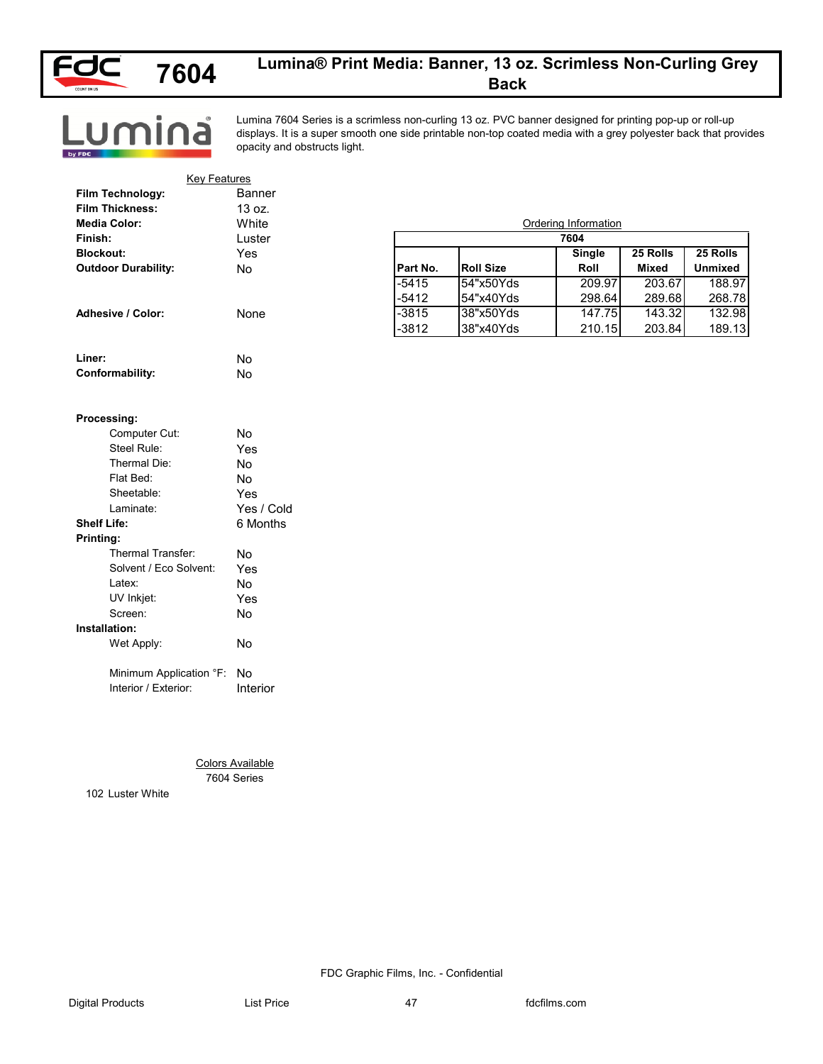

**7604**

### **Lumina® Print Media: Banner, 13 oz. Scrimless Non-Curling Grey Back**

Lumina

Lumina 7604 Series is a scrimless non-curling 13 oz. PVC banner designed for printing pop-up or roll-up displays. It is a super smooth one side printable non-top coated media with a grey polyester back that provides opacity and obstructs light.

| <b>Key Features</b>        |                                        |          |                  |                              |                          |                            |
|----------------------------|----------------------------------------|----------|------------------|------------------------------|--------------------------|----------------------------|
| Film Technology:           | Banner                                 |          |                  |                              |                          |                            |
| <b>Film Thickness:</b>     | 13 oz.                                 |          |                  |                              |                          |                            |
| <b>Media Color:</b>        | White                                  |          |                  | Ordering Information<br>7604 |                          |                            |
| Finish:                    | Luster                                 |          |                  |                              |                          |                            |
| <b>Blockout:</b>           | Yes<br>No                              | Part No. | <b>Roll Size</b> | Single<br>Roll               | 25 Rolls<br><b>Mixed</b> | 25 Rolls<br><b>Unmixed</b> |
| <b>Outdoor Durability:</b> |                                        | $-5415$  | 54"x50Yds        | 209.97                       | 203.67                   | 188.97                     |
|                            |                                        | $-5412$  | 54"x40Yds        | 298.64                       | 289.68                   | 268.78                     |
| <b>Adhesive / Color:</b>   | None                                   | $-3815$  | 38"x50Yds        | 147.75                       | 143.32                   | 132.98                     |
|                            |                                        | $-3812$  | 38"x40Yds        | 210.15                       | 203.84                   | 189.13                     |
| Liner:                     | No                                     |          |                  |                              |                          |                            |
| Conformability:            | No                                     |          |                  |                              |                          |                            |
|                            |                                        |          |                  |                              |                          |                            |
| Processing:                |                                        |          |                  |                              |                          |                            |
| Computer Cut:              | No                                     |          |                  |                              |                          |                            |
| Steel Rule:                | Yes                                    |          |                  |                              |                          |                            |
| Thermal Die:               | No                                     |          |                  |                              |                          |                            |
| Flat Bed:                  | No                                     |          |                  |                              |                          |                            |
| Sheetable:                 | Yes                                    |          |                  |                              |                          |                            |
| Laminate:                  | Yes / Cold                             |          |                  |                              |                          |                            |
| <b>Shelf Life:</b>         | 6 Months                               |          |                  |                              |                          |                            |
| Printing:                  |                                        |          |                  |                              |                          |                            |
| Thermal Transfer:          | No                                     |          |                  |                              |                          |                            |
| Solvent / Eco Solvent:     | Yes                                    |          |                  |                              |                          |                            |
| Latex:                     | No                                     |          |                  |                              |                          |                            |
| UV Inkjet:                 | Yes                                    |          |                  |                              |                          |                            |
| Screen:                    | No                                     |          |                  |                              |                          |                            |
| Installation:              |                                        |          |                  |                              |                          |                            |
| Wet Apply:                 | No                                     |          |                  |                              |                          |                            |
| Minimum Application °F: No |                                        |          |                  |                              |                          |                            |
| Interior / Exterior:       | Interior                               |          |                  |                              |                          |                            |
|                            |                                        |          |                  |                              |                          |                            |
|                            |                                        |          |                  |                              |                          |                            |
|                            | <b>Colors Available</b><br>7604 Series |          |                  |                              |                          |                            |
| 102 Luster White           |                                        |          |                  |                              |                          |                            |
|                            |                                        |          |                  |                              |                          |                            |
|                            |                                        |          |                  |                              |                          |                            |
|                            |                                        |          |                  |                              |                          |                            |
|                            |                                        |          |                  |                              |                          |                            |

#### **Processing:**

| Computer Cut:            | N٥         |
|--------------------------|------------|
| Steel Rule:              | Yes        |
| Thermal Die:             | N٥         |
| Flat Bed:                | No         |
| Sheetable:               | Yes        |
| Laminate:                | Yes / Cold |
| Shelf Life:              | 6 Months   |
| Printing:                |            |
| <b>Thermal Transfer:</b> | N٥         |
| Solvent / Eco Solvent:   | Yes        |
| Latex:                   | N٥         |
| UV Inkjet:               | Yes        |
| Screen:                  | No         |
| Installation:            |            |
| Wet Apply:               | No         |
| Minimum Application °F:  | No         |
| Interior / Exterior:     | Interior   |

FDC Graphic Films, Inc. - Confidential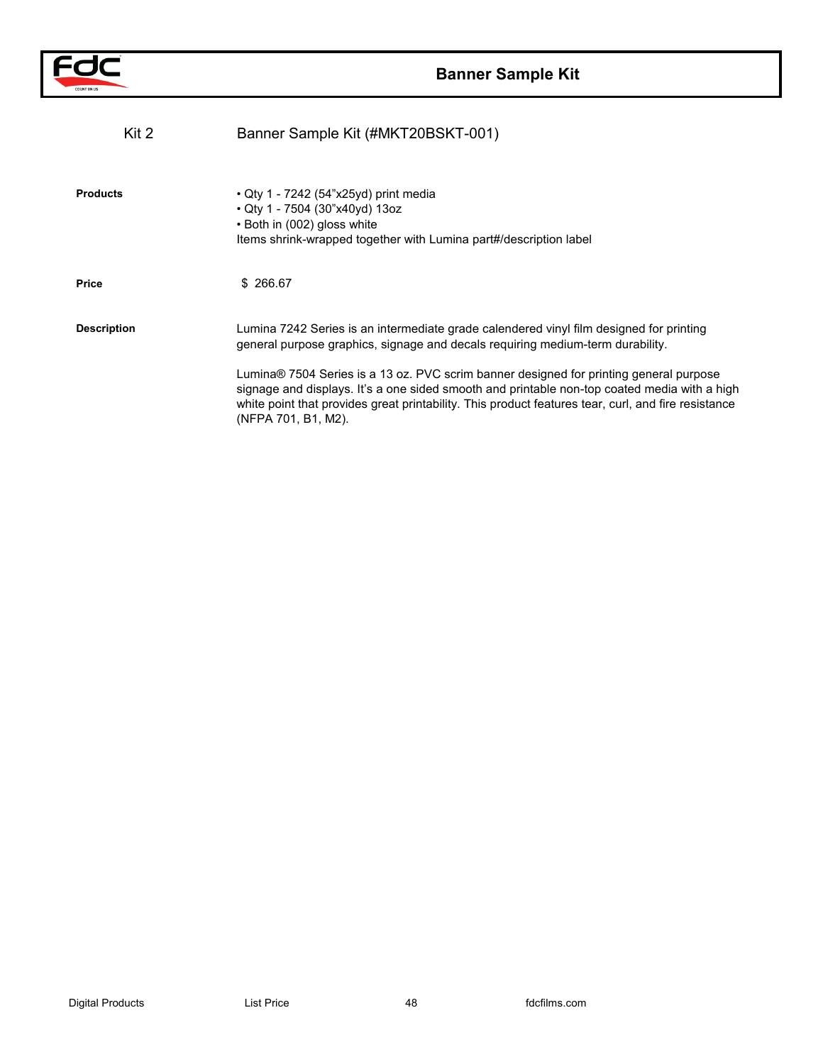

| Kit 2              | Banner Sample Kit (#MKT20BSKT-001)                                                                                                                                                                                                                                                                                   |
|--------------------|----------------------------------------------------------------------------------------------------------------------------------------------------------------------------------------------------------------------------------------------------------------------------------------------------------------------|
| <b>Products</b>    | • Qty 1 - 7242 (54"x25yd) print media<br>• Qty 1 - 7504 (30"x40yd) 13oz<br>• Both in (002) gloss white<br>Items shrink-wrapped together with Lumina part#/description label                                                                                                                                          |
| Price              | \$ 266.67                                                                                                                                                                                                                                                                                                            |
| <b>Description</b> | Lumina 7242 Series is an intermediate grade calendered vinyl film designed for printing<br>general purpose graphics, signage and decals requiring medium-term durability.                                                                                                                                            |
|                    | Lumina® 7504 Series is a 13 oz. PVC scrim banner designed for printing general purpose<br>signage and displays. It's a one sided smooth and printable non-top coated media with a high<br>white point that provides great printability. This product features tear, curl, and fire resistance<br>(NFPA 701, B1, M2). |
|                    |                                                                                                                                                                                                                                                                                                                      |
|                    |                                                                                                                                                                                                                                                                                                                      |
|                    |                                                                                                                                                                                                                                                                                                                      |
|                    |                                                                                                                                                                                                                                                                                                                      |
|                    |                                                                                                                                                                                                                                                                                                                      |
|                    |                                                                                                                                                                                                                                                                                                                      |
|                    |                                                                                                                                                                                                                                                                                                                      |
|                    |                                                                                                                                                                                                                                                                                                                      |
|                    |                                                                                                                                                                                                                                                                                                                      |
|                    |                                                                                                                                                                                                                                                                                                                      |
|                    |                                                                                                                                                                                                                                                                                                                      |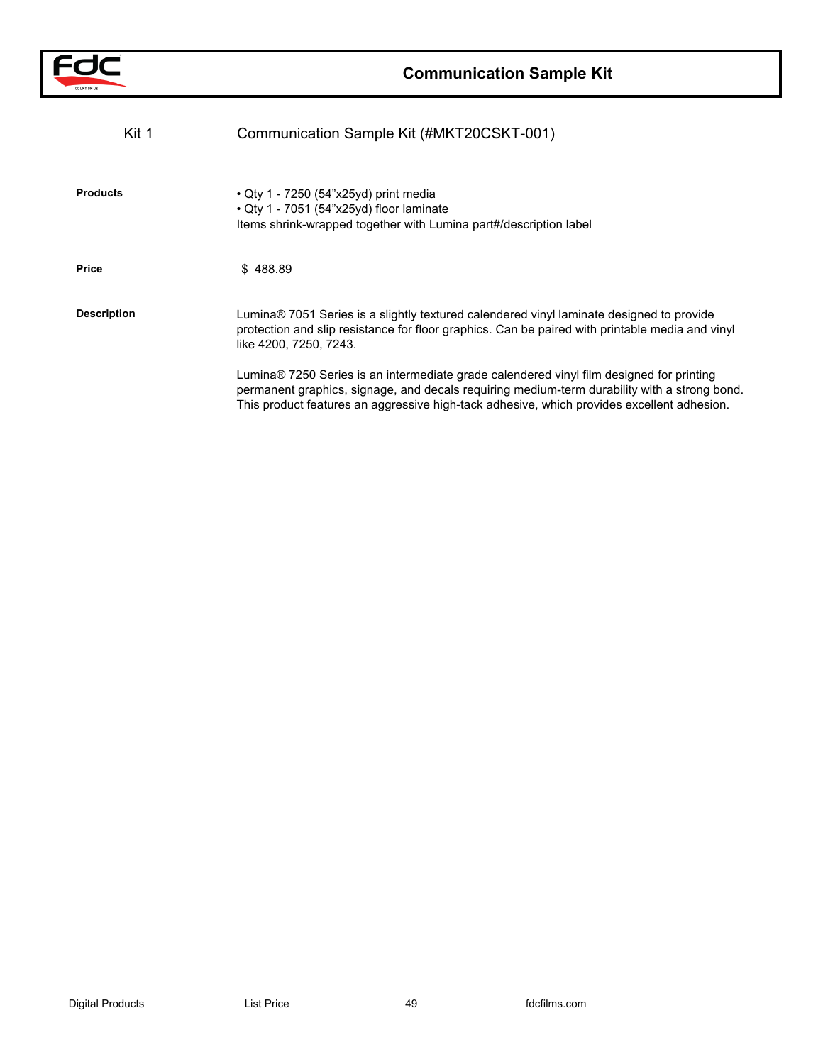

| Kit 1              | Communication Sample Kit (#MKT20CSKT-001)                                                                                                                                                                                                                                              |
|--------------------|----------------------------------------------------------------------------------------------------------------------------------------------------------------------------------------------------------------------------------------------------------------------------------------|
| <b>Products</b>    | • Qty 1 - 7250 (54"x25yd) print media<br>· Qty 1 - 7051 (54"x25yd) floor laminate<br>Items shrink-wrapped together with Lumina part#/description label                                                                                                                                 |
| Price              | \$488.89                                                                                                                                                                                                                                                                               |
| <b>Description</b> | Lumina® 7051 Series is a slightly textured calendered vinyl laminate designed to provide<br>protection and slip resistance for floor graphics. Can be paired with printable media and vinyl<br>like 4200, 7250, 7243.                                                                  |
|                    | Lumina® 7250 Series is an intermediate grade calendered vinyl film designed for printing<br>permanent graphics, signage, and decals requiring medium-term durability with a strong bond.<br>This product features an aggressive high-tack adhesive, which provides excellent adhesion. |
|                    |                                                                                                                                                                                                                                                                                        |
|                    |                                                                                                                                                                                                                                                                                        |
|                    |                                                                                                                                                                                                                                                                                        |
|                    |                                                                                                                                                                                                                                                                                        |
|                    |                                                                                                                                                                                                                                                                                        |
|                    |                                                                                                                                                                                                                                                                                        |
|                    |                                                                                                                                                                                                                                                                                        |
|                    |                                                                                                                                                                                                                                                                                        |
|                    |                                                                                                                                                                                                                                                                                        |
|                    |                                                                                                                                                                                                                                                                                        |
|                    |                                                                                                                                                                                                                                                                                        |